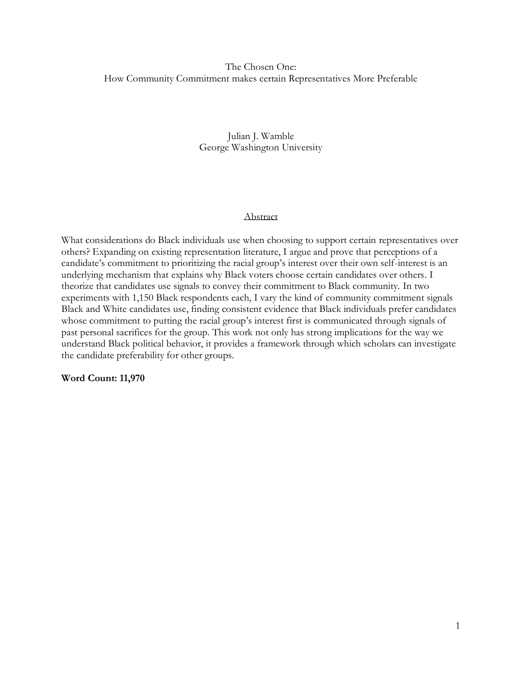# The Chosen One: How Community Commitment makes certain Representatives More Preferable

# Julian J. Wamble George Washington University

## Abstract

What considerations do Black individuals use when choosing to support certain representatives over others? Expanding on existing representation literature, I argue and prove that perceptions of a candidate's commitment to prioritizing the racial group's interest over their own self-interest is an underlying mechanism that explains why Black voters choose certain candidates over others. I theorize that candidates use signals to convey their commitment to Black community. In two experiments with 1,150 Black respondents each, I vary the kind of community commitment signals Black and White candidates use, finding consistent evidence that Black individuals prefer candidates whose commitment to putting the racial group's interest first is communicated through signals of past personal sacrifices for the group. This work not only has strong implications for the way we understand Black political behavior, it provides a framework through which scholars can investigate the candidate preferability for other groups.

**Word Count: 11,970**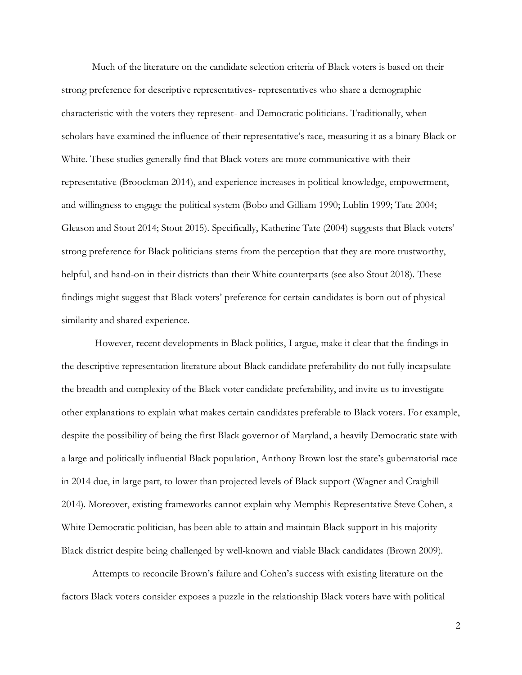Much of the literature on the candidate selection criteria of Black voters is based on their strong preference for descriptive representatives- representatives who share a demographic characteristic with the voters they represent- and Democratic politicians. Traditionally, when scholars have examined the influence of their representative's race, measuring it as a binary Black or White. These studies generally find that Black voters are more communicative with their representative (Broockman 2014), and experience increases in political knowledge, empowerment, and willingness to engage the political system (Bobo and Gilliam 1990; Lublin 1999; Tate 2004; Gleason and Stout 2014; Stout 2015). Specifically, Katherine Tate (2004) suggests that Black voters' strong preference for Black politicians stems from the perception that they are more trustworthy, helpful, and hand-on in their districts than their White counterparts (see also Stout 2018). These findings might suggest that Black voters' preference for certain candidates is born out of physical similarity and shared experience.

However, recent developments in Black politics, I argue, make it clear that the findings in the descriptive representation literature about Black candidate preferability do not fully incapsulate the breadth and complexity of the Black voter candidate preferability, and invite us to investigate other explanations to explain what makes certain candidates preferable to Black voters. For example, despite the possibility of being the first Black governor of Maryland, a heavily Democratic state with a large and politically influential Black population, Anthony Brown lost the state's gubernatorial race in 2014 due, in large part, to lower than projected levels of Black support (Wagner and Craighill 2014). Moreover, existing frameworks cannot explain why Memphis Representative Steve Cohen, a White Democratic politician, has been able to attain and maintain Black support in his majority Black district despite being challenged by well-known and viable Black candidates (Brown 2009).

Attempts to reconcile Brown's failure and Cohen's success with existing literature on the factors Black voters consider exposes a puzzle in the relationship Black voters have with political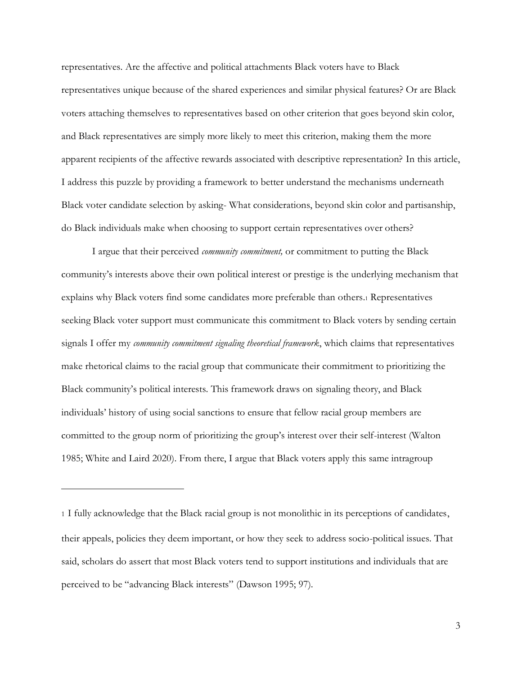representatives. Are the affective and political attachments Black voters have to Black representatives unique because of the shared experiences and similar physical features? Or are Black voters attaching themselves to representatives based on other criterion that goes beyond skin color, and Black representatives are simply more likely to meet this criterion, making them the more apparent recipients of the affective rewards associated with descriptive representation? In this article, I address this puzzle by providing a framework to better understand the mechanisms underneath Black voter candidate selection by asking- What considerations, beyond skin color and partisanship, do Black individuals make when choosing to support certain representatives over others?

I argue that their perceived *community commitment,* or commitment to putting the Black community's interests above their own political interest or prestige is the underlying mechanism that explains why Black voters find some candidates more preferable than others.<sup>1</sup> Representatives seeking Black voter support must communicate this commitment to Black voters by sending certain signals I offer my *community commitment signaling theoretical framework*, which claims that representatives make rhetorical claims to the racial group that communicate their commitment to prioritizing the Black community's political interests. This framework draws on signaling theory, and Black individuals' history of using social sanctions to ensure that fellow racial group members are committed to the group norm of prioritizing the group's interest over their self-interest (Walton 1985; White and Laird 2020). From there, I argue that Black voters apply this same intragroup

<sup>1</sup> I fully acknowledge that the Black racial group is not monolithic in its perceptions of candidates, their appeals, policies they deem important, or how they seek to address socio-political issues. That said, scholars do assert that most Black voters tend to support institutions and individuals that are perceived to be "advancing Black interests" (Dawson 1995; 97).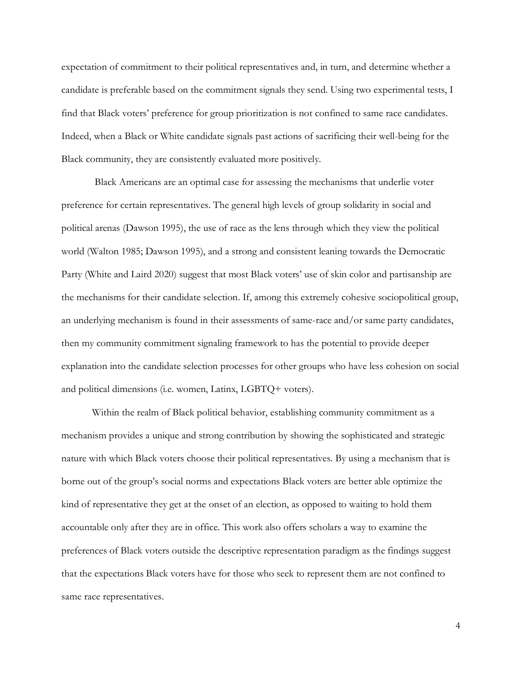expectation of commitment to their political representatives and, in turn, and determine whether a candidate is preferable based on the commitment signals they send. Using two experimental tests, I find that Black voters' preference for group prioritization is not confined to same race candidates. Indeed, when a Black or White candidate signals past actions of sacrificing their well-being for the Black community, they are consistently evaluated more positively.

Black Americans are an optimal case for assessing the mechanisms that underlie voter preference for certain representatives. The general high levels of group solidarity in social and political arenas (Dawson 1995), the use of race as the lens through which they view the political world (Walton 1985; Dawson 1995), and a strong and consistent leaning towards the Democratic Party (White and Laird 2020) suggest that most Black voters' use of skin color and partisanship are the mechanisms for their candidate selection. If, among this extremely cohesive sociopolitical group, an underlying mechanism is found in their assessments of same-race and/or same party candidates, then my community commitment signaling framework to has the potential to provide deeper explanation into the candidate selection processes for other groups who have less cohesion on social and political dimensions (i.e. women, Latinx, LGBTQ+ voters).

Within the realm of Black political behavior, establishing community commitment as a mechanism provides a unique and strong contribution by showing the sophisticated and strategic nature with which Black voters choose their political representatives. By using a mechanism that is borne out of the group's social norms and expectations Black voters are better able optimize the kind of representative they get at the onset of an election, as opposed to waiting to hold them accountable only after they are in office. This work also offers scholars a way to examine the preferences of Black voters outside the descriptive representation paradigm as the findings suggest that the expectations Black voters have for those who seek to represent them are not confined to same race representatives.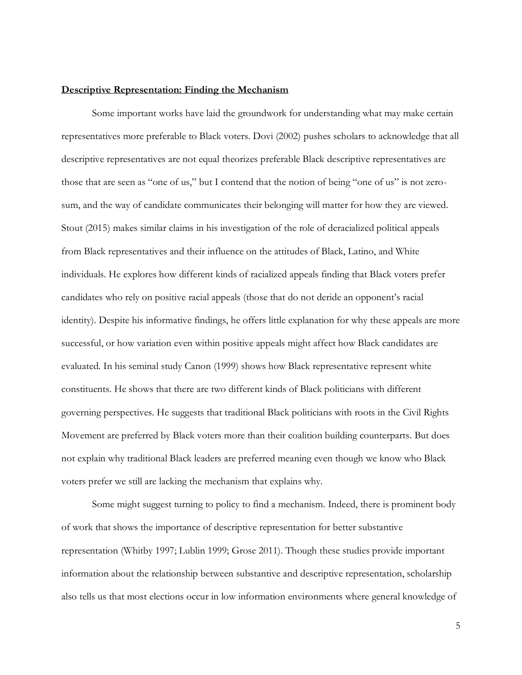#### **Descriptive Representation: Finding the Mechanism**

Some important works have laid the groundwork for understanding what may make certain representatives more preferable to Black voters. Dovi (2002) pushes scholars to acknowledge that all descriptive representatives are not equal theorizes preferable Black descriptive representatives are those that are seen as "one of us," but I contend that the notion of being "one of us" is not zerosum, and the way of candidate communicates their belonging will matter for how they are viewed. Stout (2015) makes similar claims in his investigation of the role of deracialized political appeals from Black representatives and their influence on the attitudes of Black, Latino, and White individuals. He explores how different kinds of racialized appeals finding that Black voters prefer candidates who rely on positive racial appeals (those that do not deride an opponent's racial identity). Despite his informative findings, he offers little explanation for why these appeals are more successful, or how variation even within positive appeals might affect how Black candidates are evaluated. In his seminal study Canon (1999) shows how Black representative represent white constituents. He shows that there are two different kinds of Black politicians with different governing perspectives. He suggests that traditional Black politicians with roots in the Civil Rights Movement are preferred by Black voters more than their coalition building counterparts. But does not explain why traditional Black leaders are preferred meaning even though we know who Black voters prefer we still are lacking the mechanism that explains why.

Some might suggest turning to policy to find a mechanism. Indeed, there is prominent body of work that shows the importance of descriptive representation for better substantive representation (Whitby 1997; Lublin 1999; Grose 2011). Though these studies provide important information about the relationship between substantive and descriptive representation, scholarship also tells us that most elections occur in low information environments where general knowledge of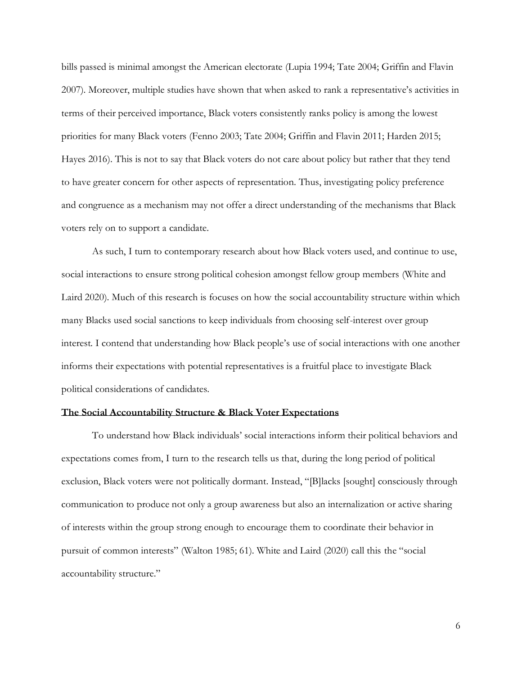bills passed is minimal amongst the American electorate (Lupia 1994; Tate 2004; Griffin and Flavin 2007). Moreover, multiple studies have shown that when asked to rank a representative's activities in terms of their perceived importance, Black voters consistently ranks policy is among the lowest priorities for many Black voters (Fenno 2003; Tate 2004; Griffin and Flavin 2011; Harden 2015; Hayes 2016). This is not to say that Black voters do not care about policy but rather that they tend to have greater concern for other aspects of representation. Thus, investigating policy preference and congruence as a mechanism may not offer a direct understanding of the mechanisms that Black voters rely on to support a candidate.

As such, I turn to contemporary research about how Black voters used, and continue to use, social interactions to ensure strong political cohesion amongst fellow group members (White and Laird 2020). Much of this research is focuses on how the social accountability structure within which many Blacks used social sanctions to keep individuals from choosing self-interest over group interest. I contend that understanding how Black people's use of social interactions with one another informs their expectations with potential representatives is a fruitful place to investigate Black political considerations of candidates.

#### **The Social Accountability Structure & Black Voter Expectations**

To understand how Black individuals' social interactions inform their political behaviors and expectations comes from, I turn to the research tells us that, during the long period of political exclusion, Black voters were not politically dormant. Instead, "[B]lacks [sought] consciously through communication to produce not only a group awareness but also an internalization or active sharing of interests within the group strong enough to encourage them to coordinate their behavior in pursuit of common interests" (Walton 1985; 61). White and Laird (2020) call this the "social accountability structure."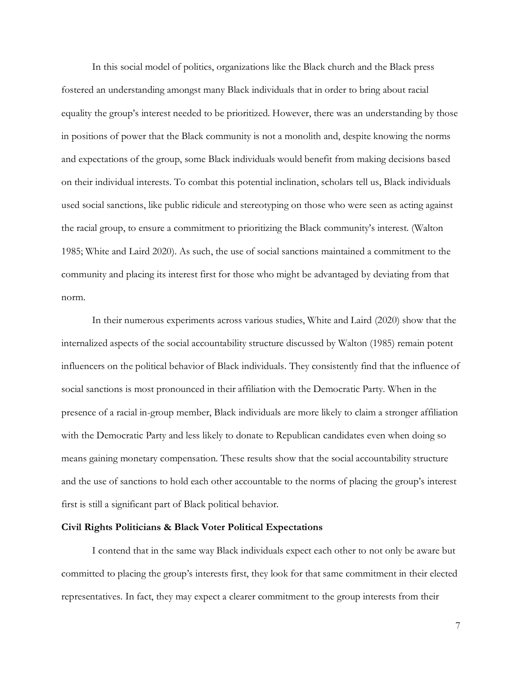In this social model of politics, organizations like the Black church and the Black press fostered an understanding amongst many Black individuals that in order to bring about racial equality the group's interest needed to be prioritized. However, there was an understanding by those in positions of power that the Black community is not a monolith and, despite knowing the norms and expectations of the group, some Black individuals would benefit from making decisions based on their individual interests. To combat this potential inclination, scholars tell us, Black individuals used social sanctions, like public ridicule and stereotyping on those who were seen as acting against the racial group, to ensure a commitment to prioritizing the Black community's interest. (Walton 1985; White and Laird 2020). As such, the use of social sanctions maintained a commitment to the community and placing its interest first for those who might be advantaged by deviating from that norm.

In their numerous experiments across various studies, White and Laird (2020) show that the internalized aspects of the social accountability structure discussed by Walton (1985) remain potent influencers on the political behavior of Black individuals. They consistently find that the influence of social sanctions is most pronounced in their affiliation with the Democratic Party. When in the presence of a racial in-group member, Black individuals are more likely to claim a stronger affiliation with the Democratic Party and less likely to donate to Republican candidates even when doing so means gaining monetary compensation. These results show that the social accountability structure and the use of sanctions to hold each other accountable to the norms of placing the group's interest first is still a significant part of Black political behavior.

#### **Civil Rights Politicians & Black Voter Political Expectations**

I contend that in the same way Black individuals expect each other to not only be aware but committed to placing the group's interests first, they look for that same commitment in their elected representatives. In fact, they may expect a clearer commitment to the group interests from their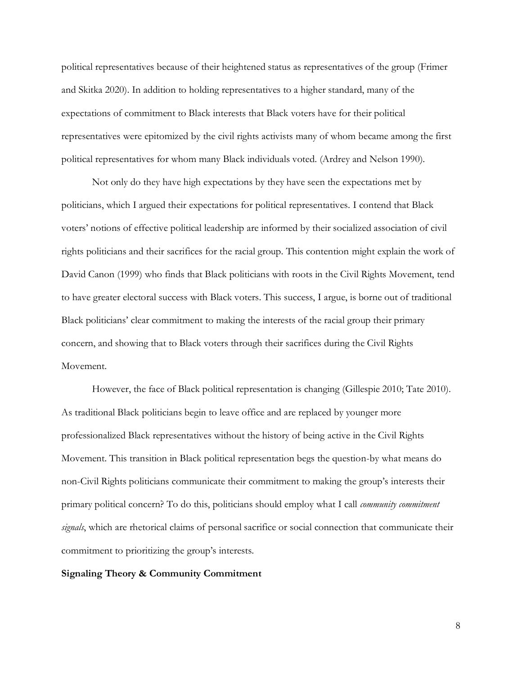political representatives because of their heightened status as representatives of the group (Frimer and Skitka 2020). In addition to holding representatives to a higher standard, many of the expectations of commitment to Black interests that Black voters have for their political representatives were epitomized by the civil rights activists many of whom became among the first political representatives for whom many Black individuals voted. (Ardrey and Nelson 1990).

Not only do they have high expectations by they have seen the expectations met by politicians, which I argued their expectations for political representatives. I contend that Black voters' notions of effective political leadership are informed by their socialized association of civil rights politicians and their sacrifices for the racial group. This contention might explain the work of David Canon (1999) who finds that Black politicians with roots in the Civil Rights Movement, tend to have greater electoral success with Black voters. This success, I argue, is borne out of traditional Black politicians' clear commitment to making the interests of the racial group their primary concern, and showing that to Black voters through their sacrifices during the Civil Rights Movement.

However, the face of Black political representation is changing (Gillespie 2010; Tate 2010). As traditional Black politicians begin to leave office and are replaced by younger more professionalized Black representatives without the history of being active in the Civil Rights Movement. This transition in Black political representation begs the question-by what means do non-Civil Rights politicians communicate their commitment to making the group's interests their primary political concern? To do this, politicians should employ what I call *community commitment signals*, which are rhetorical claims of personal sacrifice or social connection that communicate their commitment to prioritizing the group's interests.

#### **Signaling Theory & Community Commitment**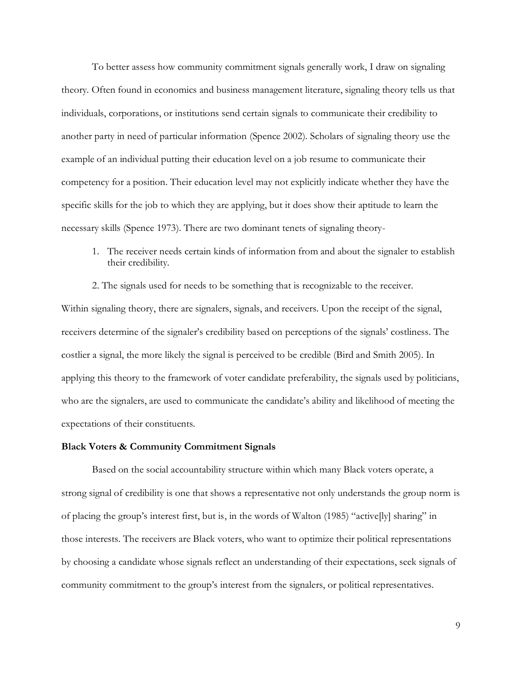To better assess how community commitment signals generally work, I draw on signaling theory. Often found in economics and business management literature, signaling theory tells us that individuals, corporations, or institutions send certain signals to communicate their credibility to another party in need of particular information (Spence 2002). Scholars of signaling theory use the example of an individual putting their education level on a job resume to communicate their competency for a position. Their education level may not explicitly indicate whether they have the specific skills for the job to which they are applying, but it does show their aptitude to learn the necessary skills (Spence 1973). There are two dominant tenets of signaling theory-

1. The receiver needs certain kinds of information from and about the signaler to establish their credibility.

2. The signals used for needs to be something that is recognizable to the receiver. Within signaling theory, there are signalers, signals, and receivers. Upon the receipt of the signal, receivers determine of the signaler's credibility based on perceptions of the signals' costliness. The costlier a signal, the more likely the signal is perceived to be credible (Bird and Smith 2005). In applying this theory to the framework of voter candidate preferability, the signals used by politicians, who are the signalers, are used to communicate the candidate's ability and likelihood of meeting the expectations of their constituents.

#### **Black Voters & Community Commitment Signals**

Based on the social accountability structure within which many Black voters operate, a strong signal of credibility is one that shows a representative not only understands the group norm is of placing the group's interest first, but is, in the words of Walton (1985) "active[ly] sharing" in those interests. The receivers are Black voters, who want to optimize their political representations by choosing a candidate whose signals reflect an understanding of their expectations, seek signals of community commitment to the group's interest from the signalers, or political representatives.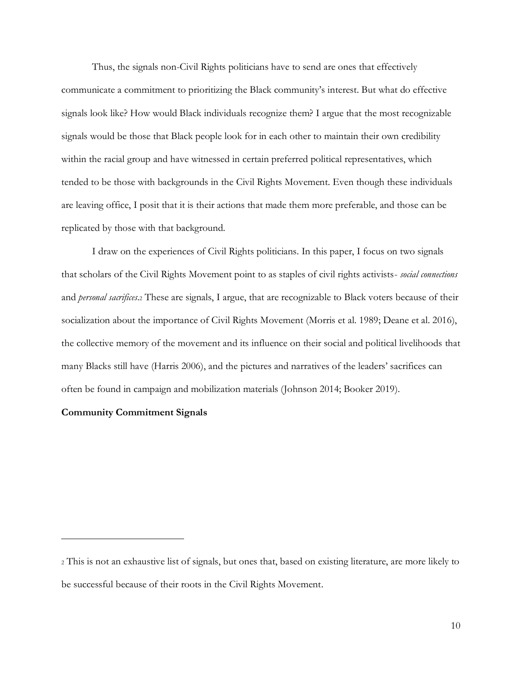Thus, the signals non-Civil Rights politicians have to send are ones that effectively communicate a commitment to prioritizing the Black community's interest. But what do effective signals look like? How would Black individuals recognize them? I argue that the most recognizable signals would be those that Black people look for in each other to maintain their own credibility within the racial group and have witnessed in certain preferred political representatives, which tended to be those with backgrounds in the Civil Rights Movement. Even though these individuals are leaving office, I posit that it is their actions that made them more preferable, and those can be replicated by those with that background.

I draw on the experiences of Civil Rights politicians. In this paper, I focus on two signals that scholars of the Civil Rights Movement point to as staples of civil rights activists- *social connections* and *personal sacrifices*.<sup>2</sup> These are signals, I argue, that are recognizable to Black voters because of their socialization about the importance of Civil Rights Movement (Morris et al. 1989; Deane et al. 2016), the collective memory of the movement and its influence on their social and political livelihoods that many Blacks still have (Harris 2006), and the pictures and narratives of the leaders' sacrifices can often be found in campaign and mobilization materials (Johnson 2014; Booker 2019).

## **Community Commitment Signals**

<sup>2</sup> This is not an exhaustive list of signals, but ones that, based on existing literature, are more likely to be successful because of their roots in the Civil Rights Movement.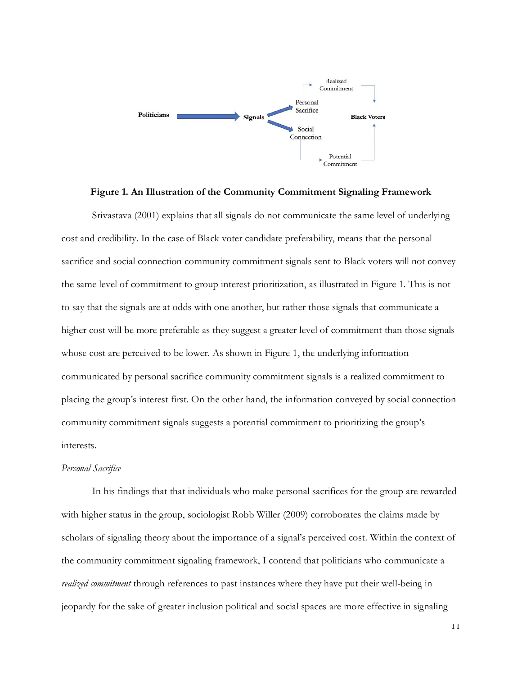

### **Figure 1. An Illustration of the Community Commitment Signaling Framework**

Srivastava (2001) explains that all signals do not communicate the same level of underlying cost and credibility. In the case of Black voter candidate preferability, means that the personal sacrifice and social connection community commitment signals sent to Black voters will not convey the same level of commitment to group interest prioritization, as illustrated in Figure 1. This is not to say that the signals are at odds with one another, but rather those signals that communicate a higher cost will be more preferable as they suggest a greater level of commitment than those signals whose cost are perceived to be lower. As shown in Figure 1, the underlying information communicated by personal sacrifice community commitment signals is a realized commitment to placing the group's interest first. On the other hand, the information conveyed by social connection community commitment signals suggests a potential commitment to prioritizing the group's interests.

### *Personal Sacrifice*

In his findings that that individuals who make personal sacrifices for the group are rewarded with higher status in the group, sociologist Robb Willer (2009) corroborates the claims made by scholars of signaling theory about the importance of a signal's perceived cost. Within the context of the community commitment signaling framework, I contend that politicians who communicate a *realized commitment* through references to past instances where they have put their well-being in jeopardy for the sake of greater inclusion political and social spaces are more effective in signaling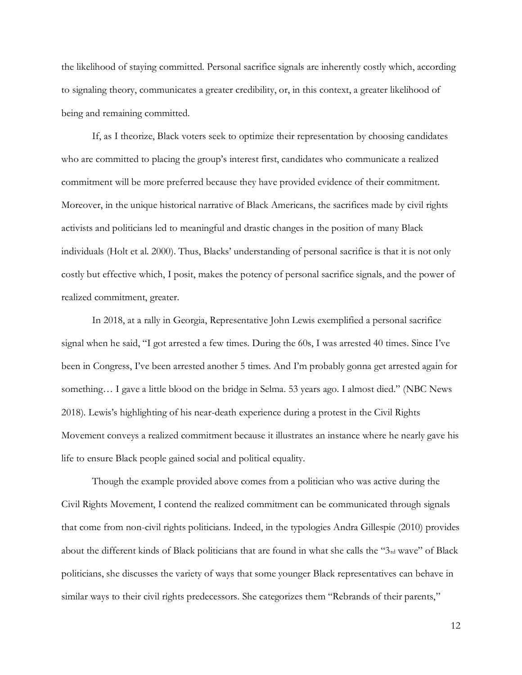the likelihood of staying committed. Personal sacrifice signals are inherently costly which, according to signaling theory, communicates a greater credibility, or, in this context, a greater likelihood of being and remaining committed.

If, as I theorize, Black voters seek to optimize their representation by choosing candidates who are committed to placing the group's interest first, candidates who communicate a realized commitment will be more preferred because they have provided evidence of their commitment. Moreover, in the unique historical narrative of Black Americans, the sacrifices made by civil rights activists and politicians led to meaningful and drastic changes in the position of many Black individuals (Holt et al. 2000). Thus, Blacks' understanding of personal sacrifice is that it is not only costly but effective which, I posit, makes the potency of personal sacrifice signals, and the power of realized commitment, greater.

In 2018, at a rally in Georgia, Representative John Lewis exemplified a personal sacrifice signal when he said, "I got arrested a few times. During the 60s, I was arrested 40 times. Since I've been in Congress, I've been arrested another 5 times. And I'm probably gonna get arrested again for something… I gave a little blood on the bridge in Selma. 53 years ago. I almost died." (NBC News 2018). Lewis's highlighting of his near-death experience during a protest in the Civil Rights Movement conveys a realized commitment because it illustrates an instance where he nearly gave his life to ensure Black people gained social and political equality.

Though the example provided above comes from a politician who was active during the Civil Rights Movement, I contend the realized commitment can be communicated through signals that come from non-civil rights politicians. Indeed, in the typologies Andra Gillespie (2010) provides about the different kinds of Black politicians that are found in what she calls the "3rd wave" of Black politicians, she discusses the variety of ways that some younger Black representatives can behave in similar ways to their civil rights predecessors. She categorizes them "Rebrands of their parents,"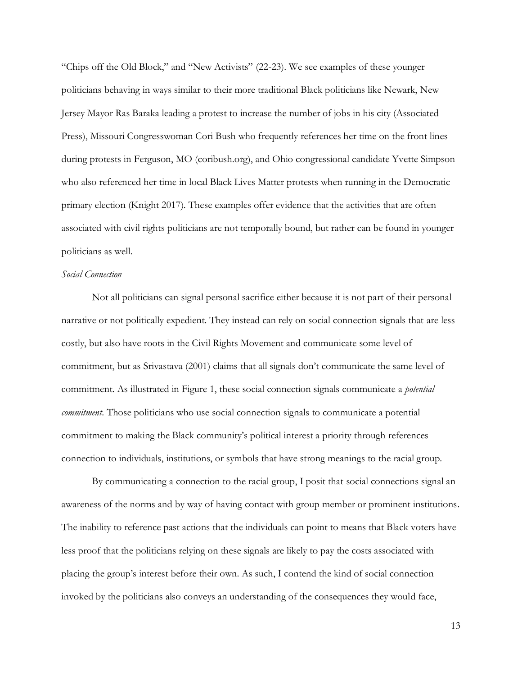"Chips off the Old Block," and "New Activists" (22-23). We see examples of these younger politicians behaving in ways similar to their more traditional Black politicians like Newark, New Jersey Mayor Ras Baraka leading a protest to increase the number of jobs in his city (Associated Press), Missouri Congresswoman Cori Bush who frequently references her time on the front lines during protests in Ferguson, MO (coribush.org), and Ohio congressional candidate Yvette Simpson who also referenced her time in local Black Lives Matter protests when running in the Democratic primary election (Knight 2017). These examples offer evidence that the activities that are often associated with civil rights politicians are not temporally bound, but rather can be found in younger politicians as well.

#### *Social Connection*

Not all politicians can signal personal sacrifice either because it is not part of their personal narrative or not politically expedient. They instead can rely on social connection signals that are less costly, but also have roots in the Civil Rights Movement and communicate some level of commitment, but as Srivastava (2001) claims that all signals don't communicate the same level of commitment. As illustrated in Figure 1, these social connection signals communicate a *potential commitment*. Those politicians who use social connection signals to communicate a potential commitment to making the Black community's political interest a priority through references connection to individuals, institutions, or symbols that have strong meanings to the racial group.

By communicating a connection to the racial group, I posit that social connections signal an awareness of the norms and by way of having contact with group member or prominent institutions. The inability to reference past actions that the individuals can point to means that Black voters have less proof that the politicians relying on these signals are likely to pay the costs associated with placing the group's interest before their own. As such, I contend the kind of social connection invoked by the politicians also conveys an understanding of the consequences they would face,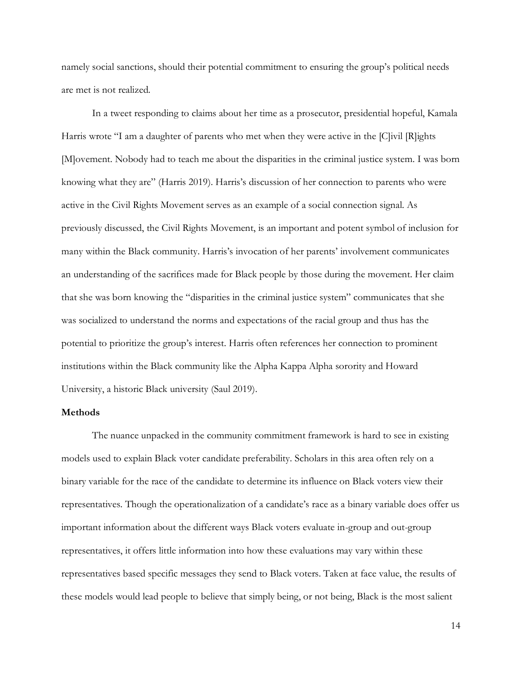namely social sanctions, should their potential commitment to ensuring the group's political needs are met is not realized.

In a tweet responding to claims about her time as a prosecutor, presidential hopeful, Kamala Harris wrote "I am a daughter of parents who met when they were active in the [C]ivil [R]ights [M]ovement. Nobody had to teach me about the disparities in the criminal justice system. I was born knowing what they are" (Harris 2019). Harris's discussion of her connection to parents who were active in the Civil Rights Movement serves as an example of a social connection signal. As previously discussed, the Civil Rights Movement, is an important and potent symbol of inclusion for many within the Black community. Harris's invocation of her parents' involvement communicates an understanding of the sacrifices made for Black people by those during the movement. Her claim that she was born knowing the "disparities in the criminal justice system" communicates that she was socialized to understand the norms and expectations of the racial group and thus has the potential to prioritize the group's interest. Harris often references her connection to prominent institutions within the Black community like the Alpha Kappa Alpha sorority and Howard University, a historic Black university (Saul 2019).

#### **Methods**

The nuance unpacked in the community commitment framework is hard to see in existing models used to explain Black voter candidate preferability. Scholars in this area often rely on a binary variable for the race of the candidate to determine its influence on Black voters view their representatives. Though the operationalization of a candidate's race as a binary variable does offer us important information about the different ways Black voters evaluate in-group and out-group representatives, it offers little information into how these evaluations may vary within these representatives based specific messages they send to Black voters. Taken at face value, the results of these models would lead people to believe that simply being, or not being, Black is the most salient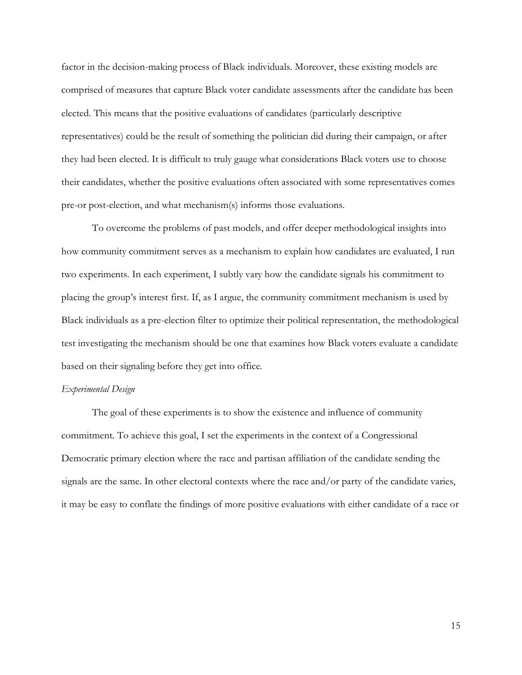factor in the decision-making process of Black individuals. Moreover, these existing models are comprised of measures that capture Black voter candidate assessments after the candidate has been elected. This means that the positive evaluations of candidates (particularly descriptive representatives) could be the result of something the politician did during their campaign, or after they had been elected. It is difficult to truly gauge what considerations Black voters use to choose their candidates, whether the positive evaluations often associated with some representatives comes pre-or post-election, and what mechanism(s) informs those evaluations.

To overcome the problems of past models, and offer deeper methodological insights into how community commitment serves as a mechanism to explain how candidates are evaluated, I run two experiments. In each experiment, I subtly vary how the candidate signals his commitment to placing the group's interest first. If, as I argue, the community commitment mechanism is used by Black individuals as a pre-election filter to optimize their political representation, the methodological test investigating the mechanism should be one that examines how Black voters evaluate a candidate based on their signaling before they get into office.

#### *Experimental Design*

The goal of these experiments is to show the existence and influence of community commitment. To achieve this goal, I set the experiments in the context of a Congressional Democratic primary election where the race and partisan affiliation of the candidate sending the signals are the same. In other electoral contexts where the race and/or party of the candidate varies, it may be easy to conflate the findings of more positive evaluations with either candidate of a race or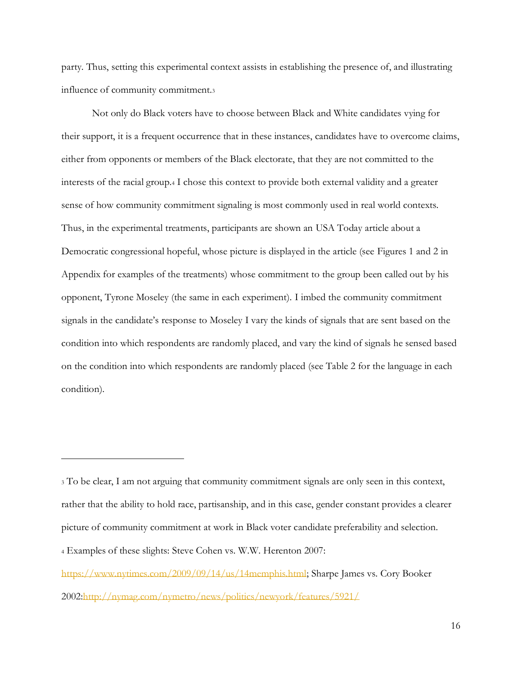party. Thus, setting this experimental context assists in establishing the presence of, and illustrating influence of community commitment.<sup>3</sup>

Not only do Black voters have to choose between Black and White candidates vying for their support, it is a frequent occurrence that in these instances, candidates have to overcome claims, either from opponents or members of the Black electorate, that they are not committed to the interests of the racial group.<sup>4</sup> I chose this context to provide both external validity and a greater sense of how community commitment signaling is most commonly used in real world contexts. Thus, in the experimental treatments, participants are shown an USA Today article about a Democratic congressional hopeful, whose picture is displayed in the article (see Figures 1 and 2 in Appendix for examples of the treatments) whose commitment to the group been called out by his opponent, Tyrone Moseley (the same in each experiment). I imbed the community commitment signals in the candidate's response to Moseley I vary the kinds of signals that are sent based on the condition into which respondents are randomly placed, and vary the kind of signals he sensed based on the condition into which respondents are randomly placed (see Table 2 for the language in each condition).

<sup>3</sup> To be clear, I am not arguing that community commitment signals are only seen in this context, rather that the ability to hold race, partisanship, and in this case, gender constant provides a clearer picture of community commitment at work in Black voter candidate preferability and selection.

<sup>4</sup> Examples of these slights: Steve Cohen vs. W.W. Herenton 2007:

[https://www.nytimes.com/2009/09/14/us/14memphis.html;](https://www.nytimes.com/2009/09/14/us/14memphis.html) Sharpe James vs. Cory Booker 2002[:http://nymag.com/nymetro/news/politics/newyork/features/5921/](http://nymag.com/nymetro/news/politics/newyork/features/5921/)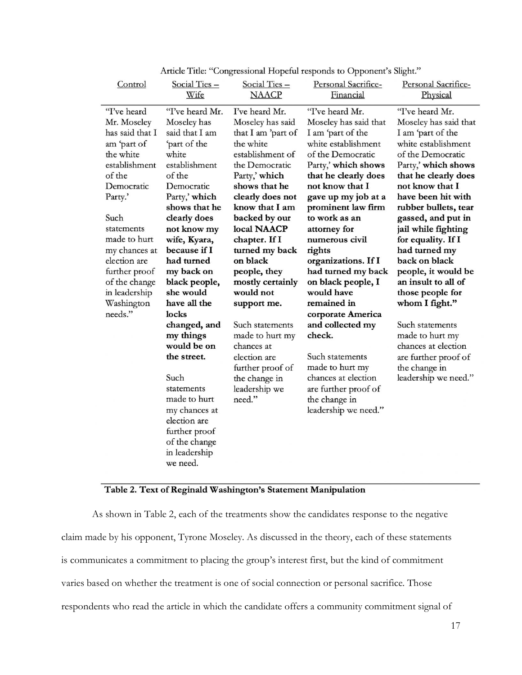| Control                                                                                                                                                                                                                                                                          | Social Ties -                                                                                                                                                                                                                                                                                                                                                                                                                                                                                           | Social Ties -                                                                                                                                                                                                                                                                                                                                                                                                                                                          | Personal Sacrifice-                                                                                                                                                                                                                                                                                                                                                                                                                                                                                                                                                    | Personal Sacrifice-                                                                                                                                                                                                                                                                                                                                                                                                                                                                                                                              |
|----------------------------------------------------------------------------------------------------------------------------------------------------------------------------------------------------------------------------------------------------------------------------------|---------------------------------------------------------------------------------------------------------------------------------------------------------------------------------------------------------------------------------------------------------------------------------------------------------------------------------------------------------------------------------------------------------------------------------------------------------------------------------------------------------|------------------------------------------------------------------------------------------------------------------------------------------------------------------------------------------------------------------------------------------------------------------------------------------------------------------------------------------------------------------------------------------------------------------------------------------------------------------------|------------------------------------------------------------------------------------------------------------------------------------------------------------------------------------------------------------------------------------------------------------------------------------------------------------------------------------------------------------------------------------------------------------------------------------------------------------------------------------------------------------------------------------------------------------------------|--------------------------------------------------------------------------------------------------------------------------------------------------------------------------------------------------------------------------------------------------------------------------------------------------------------------------------------------------------------------------------------------------------------------------------------------------------------------------------------------------------------------------------------------------|
|                                                                                                                                                                                                                                                                                  | Wife                                                                                                                                                                                                                                                                                                                                                                                                                                                                                                    | <b>NAACP</b>                                                                                                                                                                                                                                                                                                                                                                                                                                                           | Financial                                                                                                                                                                                                                                                                                                                                                                                                                                                                                                                                                              | Physical                                                                                                                                                                                                                                                                                                                                                                                                                                                                                                                                         |
| 'T've heard<br>Mr. Moseley<br>has said that I<br>am 'part of<br>the white<br>establishment<br>of the<br>Democratic<br>Party.'<br>Such<br>statements<br>made to hurt<br>my chances at<br>election are<br>further proof<br>of the change<br>in leadership<br>Washington<br>needs." | "I've heard Mr.<br>Moseley has<br>said that I am<br>'part of the<br>white<br>establishment<br>of the<br>Democratic<br>Party,' which<br>shows that he<br>clearly does<br>not know my<br>wife, Kyara,<br>because if I<br>had turned<br>my back on<br>black people,<br>she would<br>have all the<br>locks<br>changed, and<br>my things<br>would be on<br>the street.<br>Such<br>statements<br>made to hurt<br>my chances at<br>election are<br>further proof<br>of the change<br>in leadership<br>we need. | I've heard Mr.<br>Moseley has said<br>that I am 'part of<br>the white<br>establishment of<br>the Democratic<br>Party,' which<br>shows that he<br>clearly does not<br>know that I am<br>backed by our<br>local NAACP<br>chapter. If I<br>turned my back<br>on black<br>people, they<br>mostly certainly<br>would not<br>support me.<br>Such statements<br>made to hurt my<br>chances at<br>election are<br>further proof of<br>the change in<br>leadership we<br>need." | "I've heard Mr.<br>Moseley has said that<br>I am 'part of the<br>white establishment<br>of the Democratic<br>Party,' which shows<br>that he clearly does<br>not know that I<br>gave up my job at a<br>prominent law firm<br>to work as an<br>attorney for<br>numerous civil<br>rights<br>organizations. If I<br>had turned my back<br>on black people, I<br>would have<br>remained in<br>corporate America<br>and collected my<br>check.<br>Such statements<br>made to hurt my<br>chances at election<br>are further proof of<br>the change in<br>leadership we need." | "I've heard Mr.<br>Moseley has said that<br>I am 'part of the<br>white establishment<br>of the Democratic<br>Party,' which shows<br>that he clearly does<br>not know that I<br>have been hit with<br>rubber bullets, tear<br>gassed, and put in<br>jail while fighting<br>for equality. If I<br>had turned my<br>back on black<br>people, it would be<br>an insult to all of<br>those people for<br>whom I fight."<br>Such statements<br>made to hurt my<br>chances at election<br>are further proof of<br>the change in<br>leadership we need." |

Article Title: "Congressional Hopeful responds to Opponent's Slight."

# Table 2. Text of Reginald Washington's Statement Manipulation

As shown in Table 2, each of the treatments show the candidates response to the negative claim made by his opponent, Tyrone Moseley. As discussed in the theory, each of these statements is communicates a commitment to placing the group's interest first, but the kind of commitment varies based on whether the treatment is one of social connection or personal sacrifice. Those respondents who read the article in which the candidate offers a community commitment signal of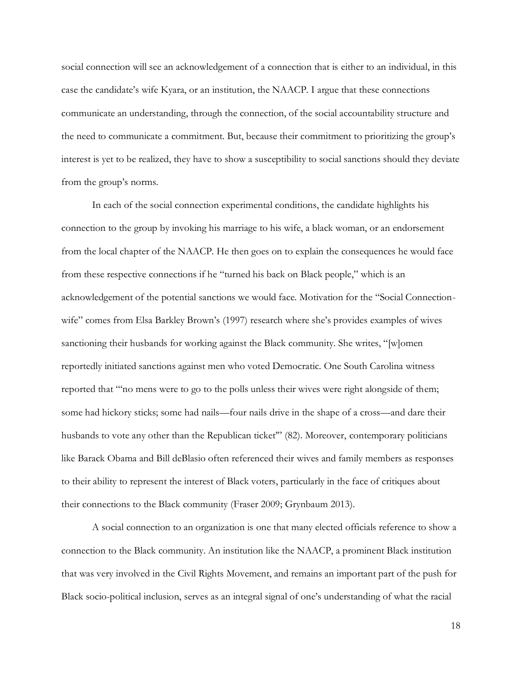social connection will see an acknowledgement of a connection that is either to an individual, in this case the candidate's wife Kyara, or an institution, the NAACP. I argue that these connections communicate an understanding, through the connection, of the social accountability structure and the need to communicate a commitment. But, because their commitment to prioritizing the group's interest is yet to be realized, they have to show a susceptibility to social sanctions should they deviate from the group's norms.

In each of the social connection experimental conditions, the candidate highlights his connection to the group by invoking his marriage to his wife, a black woman, or an endorsement from the local chapter of the NAACP. He then goes on to explain the consequences he would face from these respective connections if he "turned his back on Black people," which is an acknowledgement of the potential sanctions we would face. Motivation for the "Social Connectionwife" comes from Elsa Barkley Brown's (1997) research where she's provides examples of wives sanctioning their husbands for working against the Black community. She writes, "[w]omen reportedly initiated sanctions against men who voted Democratic. One South Carolina witness reported that "'no mens were to go to the polls unless their wives were right alongside of them; some had hickory sticks; some had nails—four nails drive in the shape of a cross—and dare their husbands to vote any other than the Republican ticket" (82). Moreover, contemporary politicians like Barack Obama and Bill deBlasio often referenced their wives and family members as responses to their ability to represent the interest of Black voters, particularly in the face of critiques about their connections to the Black community (Fraser 2009; Grynbaum 2013).

A social connection to an organization is one that many elected officials reference to show a connection to the Black community. An institution like the NAACP, a prominent Black institution that was very involved in the Civil Rights Movement, and remains an important part of the push for Black socio-political inclusion, serves as an integral signal of one's understanding of what the racial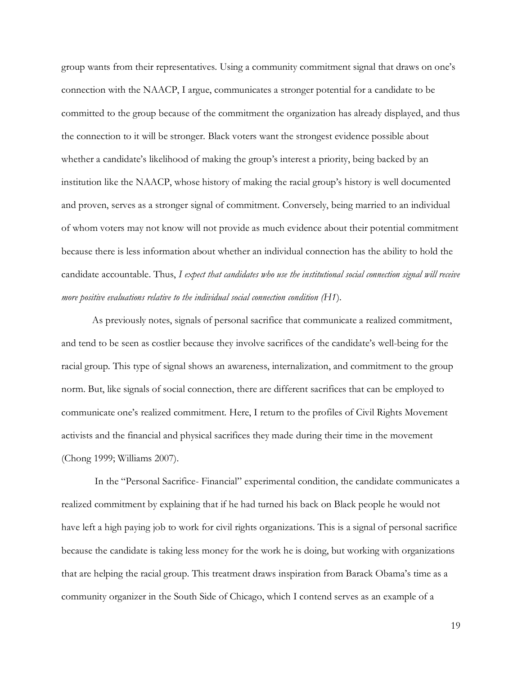group wants from their representatives. Using a community commitment signal that draws on one's connection with the NAACP, I argue, communicates a stronger potential for a candidate to be committed to the group because of the commitment the organization has already displayed, and thus the connection to it will be stronger. Black voters want the strongest evidence possible about whether a candidate's likelihood of making the group's interest a priority, being backed by an institution like the NAACP, whose history of making the racial group's history is well documented and proven, serves as a stronger signal of commitment. Conversely, being married to an individual of whom voters may not know will not provide as much evidence about their potential commitment because there is less information about whether an individual connection has the ability to hold the candidate accountable. Thus, *I expect that candidates who use the institutional social connection signal will receive more positive evaluations relative to the individual social connection condition (H1*).

As previously notes, signals of personal sacrifice that communicate a realized commitment, and tend to be seen as costlier because they involve sacrifices of the candidate's well-being for the racial group. This type of signal shows an awareness, internalization, and commitment to the group norm. But, like signals of social connection, there are different sacrifices that can be employed to communicate one's realized commitment. Here, I return to the profiles of Civil Rights Movement activists and the financial and physical sacrifices they made during their time in the movement (Chong 1999; Williams 2007).

In the "Personal Sacrifice- Financial" experimental condition, the candidate communicates a realized commitment by explaining that if he had turned his back on Black people he would not have left a high paying job to work for civil rights organizations. This is a signal of personal sacrifice because the candidate is taking less money for the work he is doing, but working with organizations that are helping the racial group. This treatment draws inspiration from Barack Obama's time as a community organizer in the South Side of Chicago, which I contend serves as an example of a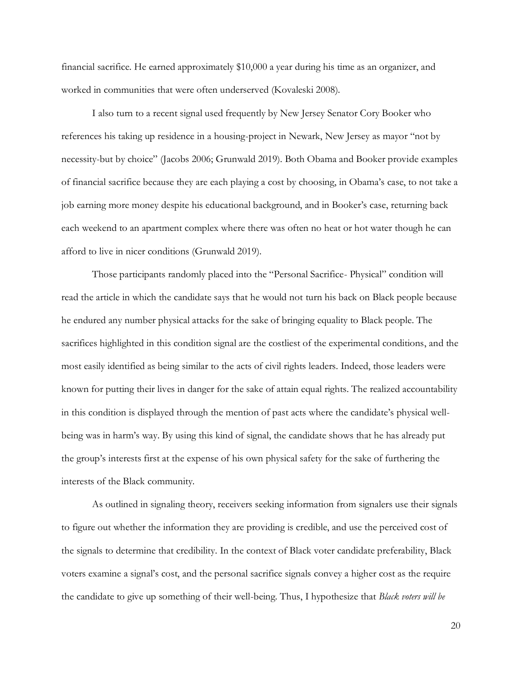financial sacrifice. He earned approximately \$10,000 a year during his time as an organizer, and worked in communities that were often underserved (Kovaleski 2008).

I also turn to a recent signal used frequently by New Jersey Senator Cory Booker who references his taking up residence in a housing-project in Newark, New Jersey as mayor "not by necessity-but by choice" (Jacobs 2006; Grunwald 2019). Both Obama and Booker provide examples of financial sacrifice because they are each playing a cost by choosing, in Obama's case, to not take a job earning more money despite his educational background, and in Booker's case, returning back each weekend to an apartment complex where there was often no heat or hot water though he can afford to live in nicer conditions (Grunwald 2019).

Those participants randomly placed into the "Personal Sacrifice- Physical" condition will read the article in which the candidate says that he would not turn his back on Black people because he endured any number physical attacks for the sake of bringing equality to Black people. The sacrifices highlighted in this condition signal are the costliest of the experimental conditions, and the most easily identified as being similar to the acts of civil rights leaders. Indeed, those leaders were known for putting their lives in danger for the sake of attain equal rights. The realized accountability in this condition is displayed through the mention of past acts where the candidate's physical wellbeing was in harm's way. By using this kind of signal, the candidate shows that he has already put the group's interests first at the expense of his own physical safety for the sake of furthering the interests of the Black community.

As outlined in signaling theory, receivers seeking information from signalers use their signals to figure out whether the information they are providing is credible, and use the perceived cost of the signals to determine that credibility. In the context of Black voter candidate preferability, Black voters examine a signal's cost, and the personal sacrifice signals convey a higher cost as the require the candidate to give up something of their well-being. Thus, I hypothesize that *Black voters will be*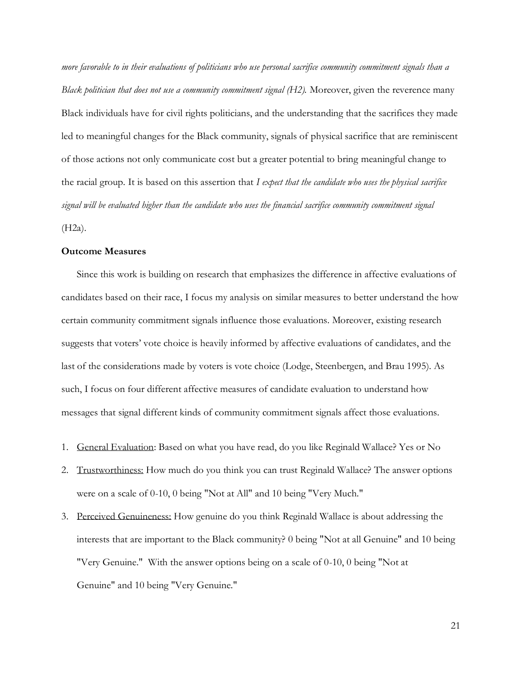*more favorable to in their evaluations of politicians who use personal sacrifice community commitment signals than a Black politician that does not use a community commitment signal (H2)*. Moreover, given the reverence many Black individuals have for civil rights politicians, and the understanding that the sacrifices they made led to meaningful changes for the Black community, signals of physical sacrifice that are reminiscent of those actions not only communicate cost but a greater potential to bring meaningful change to the racial group*.* It is based on this assertion that *I expect that the candidate who uses the physical sacrifice signal will be evaluated higher than the candidate who uses the financial sacrifice community commitment signal*  (H2a).

### **Outcome Measures**

Since this work is building on research that emphasizes the difference in affective evaluations of candidates based on their race, I focus my analysis on similar measures to better understand the how certain community commitment signals influence those evaluations. Moreover, existing research suggests that voters' vote choice is heavily informed by affective evaluations of candidates, and the last of the considerations made by voters is vote choice (Lodge, Steenbergen, and Brau 1995). As such, I focus on four different affective measures of candidate evaluation to understand how messages that signal different kinds of community commitment signals affect those evaluations.

- 1. General Evaluation: Based on what you have read, do you like Reginald Wallace? Yes or No
- 2. Trustworthiness: How much do you think you can trust Reginald Wallace? The answer options were on a scale of 0-10, 0 being "Not at All" and 10 being "Very Much."
- 3. Perceived Genuineness: How genuine do you think Reginald Wallace is about addressing the interests that are important to the Black community? 0 being "Not at all Genuine" and 10 being "Very Genuine." With the answer options being on a scale of 0-10, 0 being "Not at Genuine" and 10 being "Very Genuine."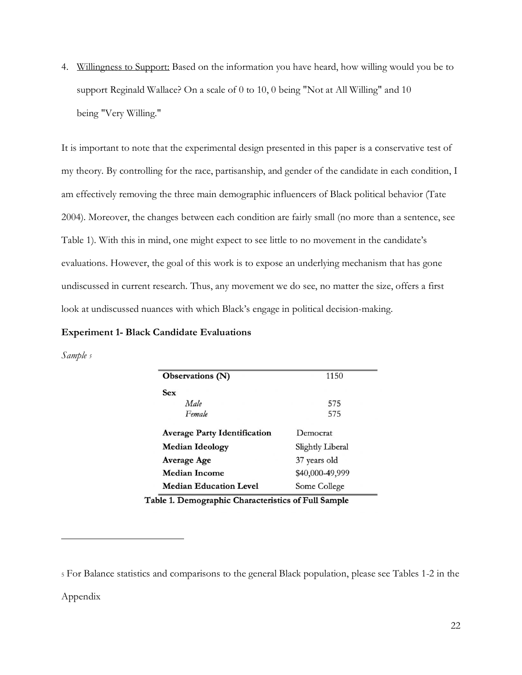4. Willingness to Support: Based on the information you have heard, how willing would you be to support Reginald Wallace? On a scale of 0 to 10, 0 being "Not at All Willing" and 10 being "Very Willing."

It is important to note that the experimental design presented in this paper is a conservative test of my theory. By controlling for the race, partisanship, and gender of the candidate in each condition, I am effectively removing the three main demographic influencers of Black political behavior (Tate 2004). Moreover, the changes between each condition are fairly small (no more than a sentence, see Table 1). With this in mind, one might expect to see little to no movement in the candidate's evaluations. However, the goal of this work is to expose an underlying mechanism that has gone undiscussed in current research. Thus, any movement we do see, no matter the size, offers a first look at undiscussed nuances with which Black's engage in political decision-making.

#### **Experiment 1- Black Candidate Evaluations**

*Sample <sup>5</sup>*

| Observations (N)                    | 1150             |  |
|-------------------------------------|------------------|--|
| <b>Sex</b>                          |                  |  |
| Male                                | 575              |  |
| Female                              | 575              |  |
| <b>Average Party Identification</b> | Democrat         |  |
| <b>Median Ideology</b>              | Slightly Liberal |  |
| <b>Average Age</b>                  | 37 years old     |  |
| <b>Median Income</b>                | \$40,000-49,999  |  |
| <b>Median Education Level</b>       | Some College     |  |

Table 1. Demographic Characteristics of Full Sample

Appendix

<sup>5</sup> For Balance statistics and comparisons to the general Black population, please see Tables 1-2 in the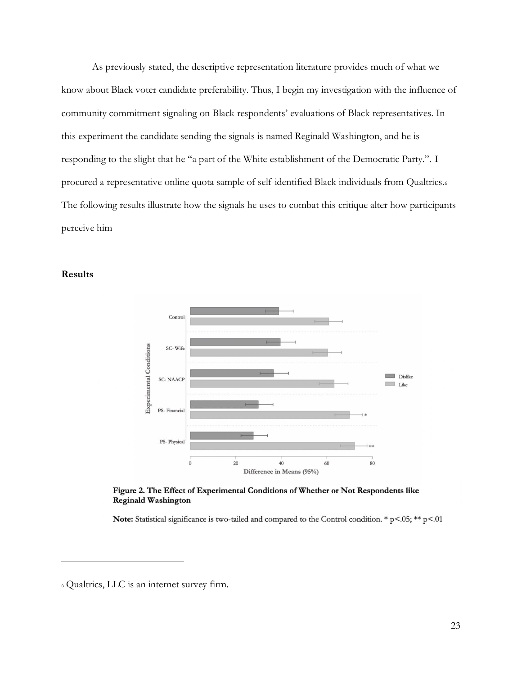As previously stated, the descriptive representation literature provides much of what we know about Black voter candidate preferability. Thus, I begin my investigation with the influence of community commitment signaling on Black respondents' evaluations of Black representatives. In this experiment the candidate sending the signals is named Reginald Washington, and he is responding to the slight that he "a part of the White establishment of the Democratic Party.". I procured a representative online quota sample of self-identified Black individuals from Qualtrics.<sup>6</sup> The following results illustrate how the signals he uses to combat this critique alter how participants perceive him





Figure 2. The Effect of Experimental Conditions of Whether or Not Respondents like **Reginald Washington** 

Note: Statistical significance is two-tailed and compared to the Control condition. \*  $p<0.05$ ; \*\*  $p<0.01$ 

<sup>6</sup> Qualtrics, LLC is an internet survey firm.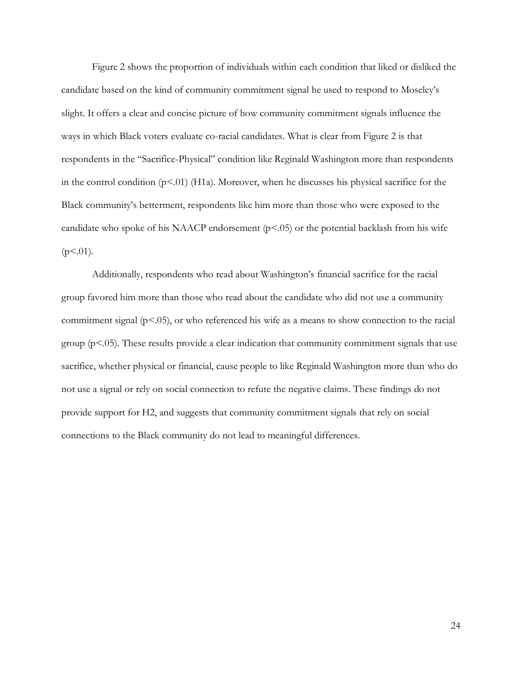Figure 2 shows the proportion of individuals within each condition that liked or disliked the candidate based on the kind of community commitment signal he used to respond to Moseley's slight. It offers a clear and concise picture of how community commitment signals influence the ways in which Black voters evaluate co-racial candidates. What is clear from Figure 2 is that respondents in the "Sacrifice-Physical" condition like Reginald Washington more than respondents in the control condition  $(p<.01)$  (H1a). Moreover, when he discusses his physical sacrifice for the Black community's betterment, respondents like him more than those who were exposed to the candidate who spoke of his NAACP endorsement  $(p<0.05)$  or the potential backlash from his wife  $(p<.01)$ .

Additionally, respondents who read about Washington's financial sacrifice for the racial group favored him more than those who read about the candidate who did not use a community commitment signal  $(p<0.05)$ , or who referenced his wife as a means to show connection to the racial group ( $p<0.05$ ). These results provide a clear indication that community commitment signals that use sacrifice, whether physical or financial, cause people to like Reginald Washington more than who do not use a signal or rely on social connection to refute the negative claims. These findings do not provide support for H2, and suggests that community commitment signals that rely on social connections to the Black community do not lead to meaningful differences.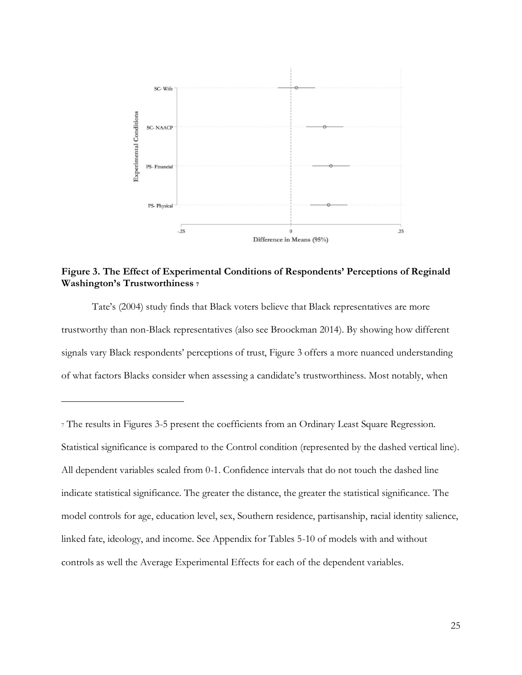

**Figure 3. The Effect of Experimental Conditions of Respondents' Perceptions of Reginald Washington's Trustworthiness <sup>7</sup>**

Tate's (2004) study finds that Black voters believe that Black representatives are more trustworthy than non-Black representatives (also see Broockman 2014). By showing how different signals vary Black respondents' perceptions of trust, Figure 3 offers a more nuanced understanding of what factors Blacks consider when assessing a candidate's trustworthiness. Most notably, when

<sup>7</sup> The results in Figures 3-5 present the coefficients from an Ordinary Least Square Regression. Statistical significance is compared to the Control condition (represented by the dashed vertical line). All dependent variables scaled from 0-1. Confidence intervals that do not touch the dashed line indicate statistical significance. The greater the distance, the greater the statistical significance. The model controls for age, education level, sex, Southern residence, partisanship, racial identity salience, linked fate, ideology, and income. See Appendix for Tables 5-10 of models with and without controls as well the Average Experimental Effects for each of the dependent variables.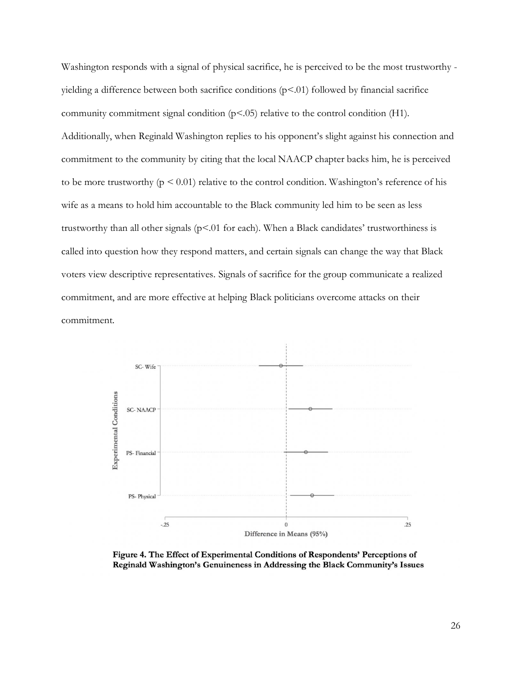Washington responds with a signal of physical sacrifice, he is perceived to be the most trustworthy yielding a difference between both sacrifice conditions  $(p<.01)$  followed by financial sacrifice community commitment signal condition (p<.05) relative to the control condition (H1). Additionally, when Reginald Washington replies to his opponent's slight against his connection and commitment to the community by citing that the local NAACP chapter backs him, he is perceived to be more trustworthy ( $p \le 0.01$ ) relative to the control condition. Washington's reference of his wife as a means to hold him accountable to the Black community led him to be seen as less trustworthy than all other signals ( $p<0$ 1 for each). When a Black candidates' trustworthiness is called into question how they respond matters, and certain signals can change the way that Black voters view descriptive representatives. Signals of sacrifice for the group communicate a realized commitment, and are more effective at helping Black politicians overcome attacks on their commitment.



Figure 4. The Effect of Experimental Conditions of Respondents' Perceptions of Reginald Washington's Genuineness in Addressing the Black Community's Issues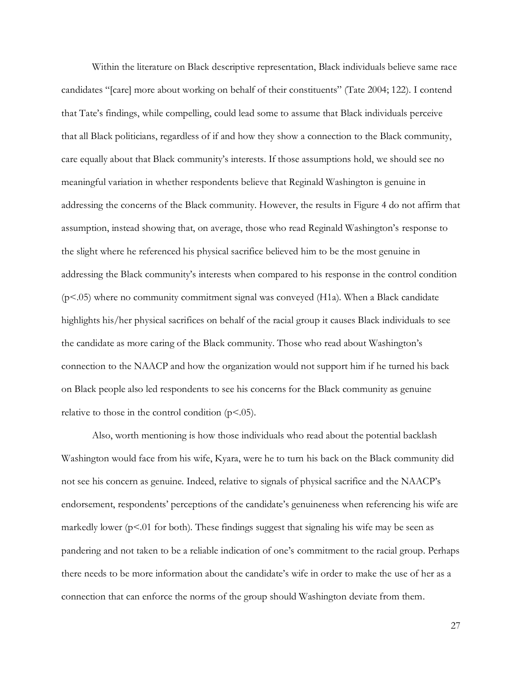Within the literature on Black descriptive representation, Black individuals believe same race candidates "[care] more about working on behalf of their constituents" (Tate 2004; 122). I contend that Tate's findings, while compelling, could lead some to assume that Black individuals perceive that all Black politicians, regardless of if and how they show a connection to the Black community, care equally about that Black community's interests. If those assumptions hold, we should see no meaningful variation in whether respondents believe that Reginald Washington is genuine in addressing the concerns of the Black community. However, the results in Figure 4 do not affirm that assumption, instead showing that, on average, those who read Reginald Washington's response to the slight where he referenced his physical sacrifice believed him to be the most genuine in addressing the Black community's interests when compared to his response in the control condition  $(p<0.05)$  where no community commitment signal was conveyed (H1a). When a Black candidate highlights his/her physical sacrifices on behalf of the racial group it causes Black individuals to see the candidate as more caring of the Black community. Those who read about Washington's connection to the NAACP and how the organization would not support him if he turned his back on Black people also led respondents to see his concerns for the Black community as genuine relative to those in the control condition  $(p<.05)$ .

Also, worth mentioning is how those individuals who read about the potential backlash Washington would face from his wife, Kyara, were he to turn his back on the Black community did not see his concern as genuine. Indeed, relative to signals of physical sacrifice and the NAACP's endorsement, respondents' perceptions of the candidate's genuineness when referencing his wife are markedly lower ( $p<0$ 1 for both). These findings suggest that signaling his wife may be seen as pandering and not taken to be a reliable indication of one's commitment to the racial group. Perhaps there needs to be more information about the candidate's wife in order to make the use of her as a connection that can enforce the norms of the group should Washington deviate from them.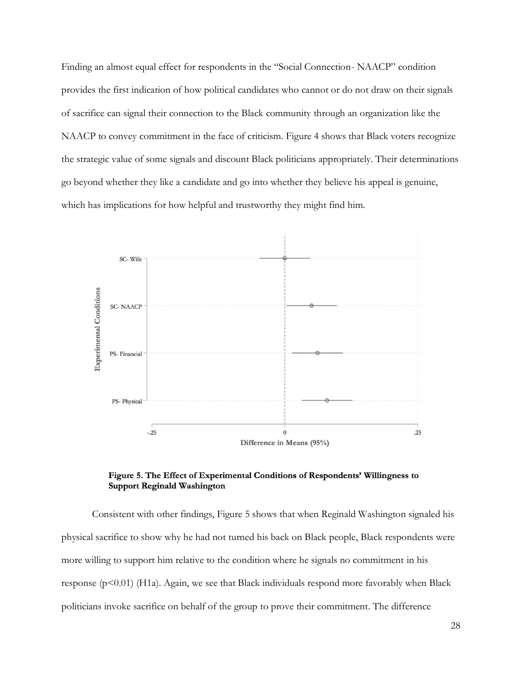Finding an almost equal effect for respondents in the "Social Connection- NAACP" condition provides the first indication of how political candidates who cannot or do not draw on their signals of sacrifice can signal their connection to the Black community through an organization like the NAACP to convey commitment in the face of criticism. Figure 4 shows that Black voters recognize the strategic value of some signals and discount Black politicians appropriately. Their determinations go beyond whether they like a candidate and go into whether they believe his appeal is genuine, which has implications for how helpful and trustworthy they might find him.



Figure 5. The Effect of Experimental Conditions of Respondents' Willingness to **Support Reginald Washington** 

Consistent with other findings, Figure 5 shows that when Reginald Washington signaled his physical sacrifice to show why he had not turned his back on Black people, Black respondents were more willing to support him relative to the condition where he signals no commitment in his response  $(p<0.01)$  (H1a). Again, we see that Black individuals respond more favorably when Black politicians invoke sacrifice on behalf of the group to prove their commitment. The difference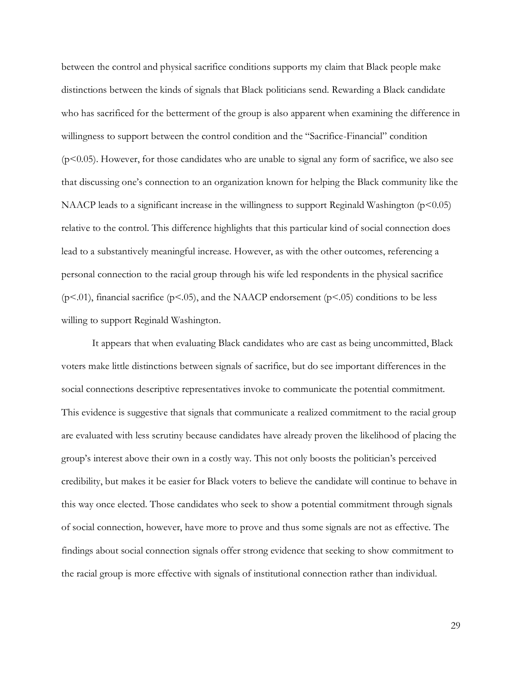between the control and physical sacrifice conditions supports my claim that Black people make distinctions between the kinds of signals that Black politicians send. Rewarding a Black candidate who has sacrificed for the betterment of the group is also apparent when examining the difference in willingness to support between the control condition and the "Sacrifice-Financial" condition  $(p<0.05)$ . However, for those candidates who are unable to signal any form of sacrifice, we also see that discussing one's connection to an organization known for helping the Black community like the NAACP leads to a significant increase in the willingness to support Reginald Washington  $(p<0.05)$ relative to the control. This difference highlights that this particular kind of social connection does lead to a substantively meaningful increase. However, as with the other outcomes, referencing a personal connection to the racial group through his wife led respondents in the physical sacrifice  $(p<.01)$ , financial sacrifice  $(p<.05)$ , and the NAACP endorsement  $(p<.05)$  conditions to be less willing to support Reginald Washington.

It appears that when evaluating Black candidates who are cast as being uncommitted, Black voters make little distinctions between signals of sacrifice, but do see important differences in the social connections descriptive representatives invoke to communicate the potential commitment. This evidence is suggestive that signals that communicate a realized commitment to the racial group are evaluated with less scrutiny because candidates have already proven the likelihood of placing the group's interest above their own in a costly way. This not only boosts the politician's perceived credibility, but makes it be easier for Black voters to believe the candidate will continue to behave in this way once elected. Those candidates who seek to show a potential commitment through signals of social connection, however, have more to prove and thus some signals are not as effective. The findings about social connection signals offer strong evidence that seeking to show commitment to the racial group is more effective with signals of institutional connection rather than individual.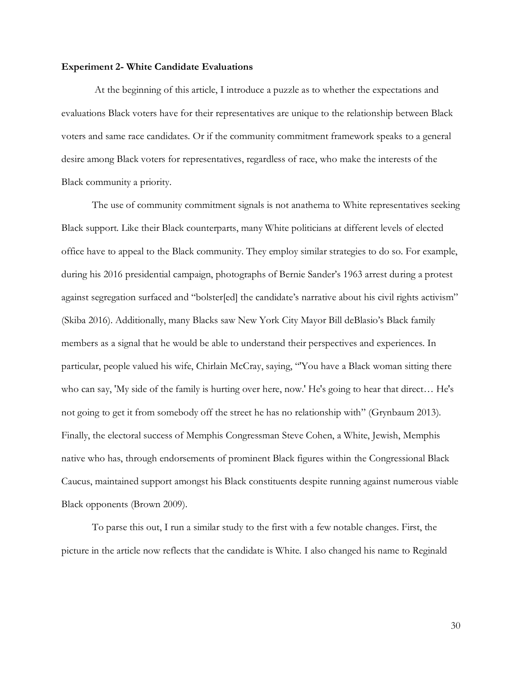#### **Experiment 2- White Candidate Evaluations**

At the beginning of this article, I introduce a puzzle as to whether the expectations and evaluations Black voters have for their representatives are unique to the relationship between Black voters and same race candidates. Or if the community commitment framework speaks to a general desire among Black voters for representatives, regardless of race, who make the interests of the Black community a priority.

The use of community commitment signals is not anathema to White representatives seeking Black support. Like their Black counterparts, many White politicians at different levels of elected office have to appeal to the Black community. They employ similar strategies to do so. For example, during his 2016 presidential campaign, photographs of Bernie Sander's 1963 arrest during a protest against segregation surfaced and "bolster[ed] the candidate's narrative about his civil rights activism" (Skiba 2016). Additionally, many Blacks saw New York City Mayor Bill deBlasio's Black family members as a signal that he would be able to understand their perspectives and experiences. In particular, people valued his wife, Chirlain McCray, saying, "'You have a Black woman sitting there who can say, 'My side of the family is hurting over here, now.' He's going to hear that direct… He's not going to get it from somebody off the street he has no relationship with" (Grynbaum 2013). Finally, the electoral success of Memphis Congressman Steve Cohen, a White, Jewish, Memphis native who has, through endorsements of prominent Black figures within the Congressional Black Caucus, maintained support amongst his Black constituents despite running against numerous viable Black opponents (Brown 2009).

To parse this out, I run a similar study to the first with a few notable changes. First, the picture in the article now reflects that the candidate is White. I also changed his name to Reginald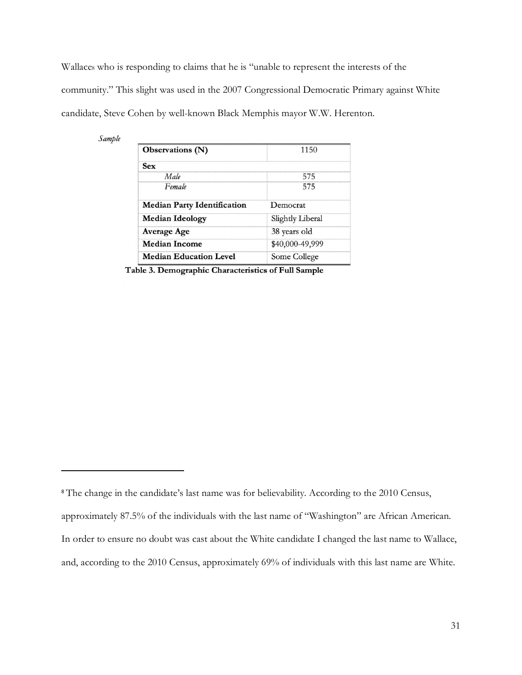Wallaces who is responding to claims that he is "unable to represent the interests of the community." This slight was used in the 2007 Congressional Democratic Primary against White candidate, Steve Cohen by well-known Black Memphis mayor W.W. Herenton.

| Sample |  |
|--------|--|

| Observations (N)                   | 1150             |  |
|------------------------------------|------------------|--|
| Sex                                |                  |  |
| Male                               | 575              |  |
| Female                             | 575              |  |
| <b>Median Party Identification</b> | Democrat         |  |
| <b>Median Ideology</b>             | Slightly Liberal |  |
| <b>Average Age</b>                 | 38 years old     |  |
| <b>Median Income</b>               | \$40,000-49,999  |  |
| <b>Median Education Level</b>      | Some College     |  |

Table 3. Demographic Characteristics of Full Sample

<sup>&</sup>lt;sup>8</sup> The change in the candidate's last name was for believability. According to the 2010 Census,

approximately 87.5% of the individuals with the last name of "Washington" are African American.

In order to ensure no doubt was cast about the White candidate I changed the last name to Wallace,

and, according to the 2010 Census, approximately 69% of individuals with this last name are White.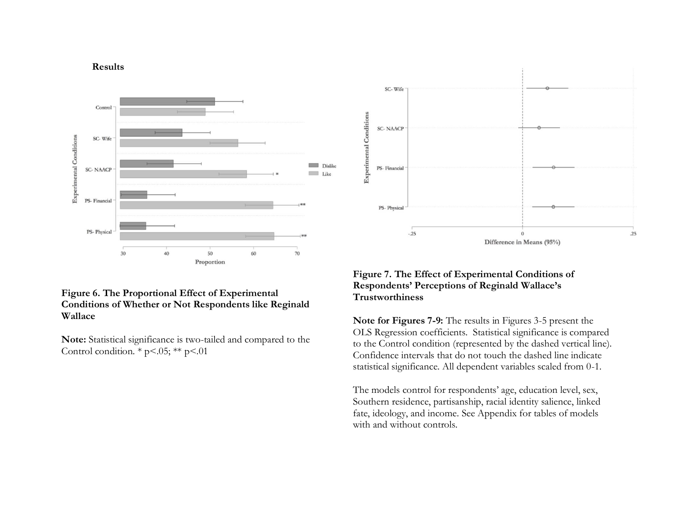#### **Results**



## **Figure 6. The Proportional Effect of Experimental Conditions of Whether or Not Respondents like Reginald Wallace**

**Note:** Statistical significance is two-tailed and compared to the Control condition.  $*$  p<.05;  $**$  p<.01



# **Figure 7. The Effect of Experimental Conditions of Respondents' Perceptions of Reginald Wallace's Trustworthiness**

**Note for Figures 7-9:** The results in Figures 3-5 present the OLS Regression coefficients. Statistical significance is compared to the Control condition (represented by the dashed vertical line). Confidence intervals that do not touch the dashed line indicate statistical significance. All dependent variables scaled from 0-1.

The models control for respondents' age, education level, sex, Southern residence, partisanship, racial identity salience, linked fate, ideology, and income. See Appendix for tables of models with and without controls.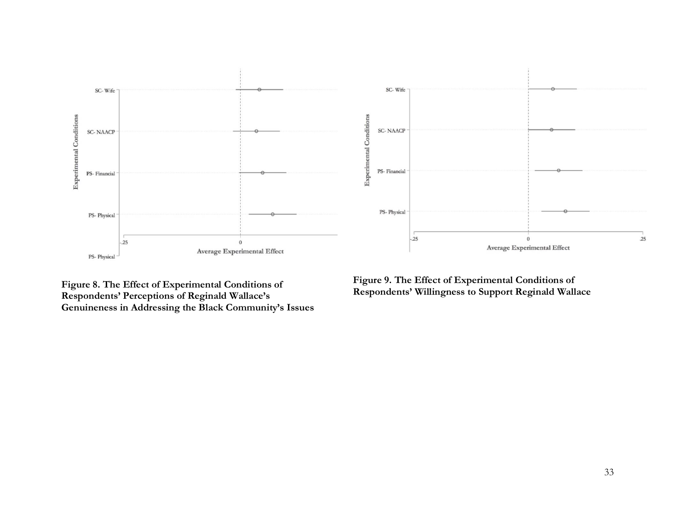

**Figure 8. The Effect of Experimental Conditions of Respondents' Perceptions of Reginald Wallace's Genuineness in Addressing the Black Community's Issues**

**Figure 9. The Effect of Experimental Conditions of Respondents' Willingness to Support Reginald Wallace**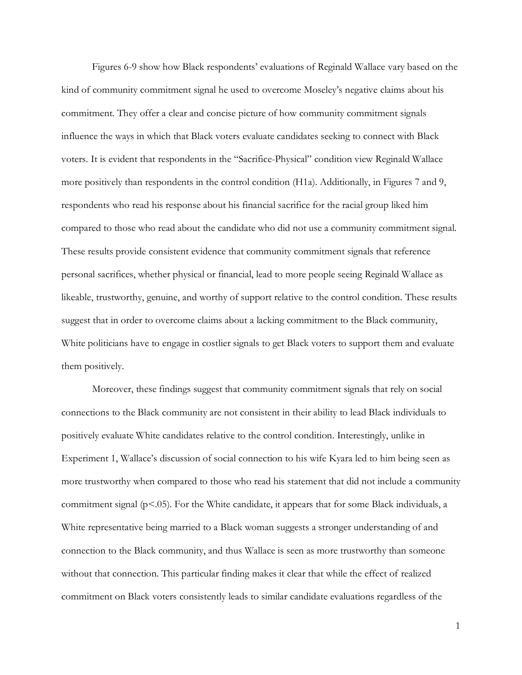Figures 6-9 show how Black respondents' evaluations of Reginald Wallace vary based on the kind of community commitment signal he used to overcome Moseley's negative claims about his commitment. They offer a clear and concise picture of how community commitment signals influence the ways in which that Black voters evaluate candidates seeking to connect with Black voters. It is evident that respondents in the "Sacrifice-Physical" condition view Reginald Wallace more positively than respondents in the control condition (H1a). Additionally, in Figures 7 and 9, respondents who read his response about his financial sacrifice for the racial group liked him compared to those who read about the candidate who did not use a community commitment signal. These results provide consistent evidence that community commitment signals that reference personal sacrifices, whether physical or financial, lead to more people seeing Reginald Wallace as likeable, trustworthy, genuine, and worthy of support relative to the control condition. These results suggest that in order to overcome claims about a lacking commitment to the Black community, White politicians have to engage in costlier signals to get Black voters to support them and evaluate them positively.

Moreover, these findings suggest that community commitment signals that rely on social connections to the Black community are not consistent in their ability to lead Black individuals to positively evaluate White candidates relative to the control condition. Interestingly, unlike in Experiment 1, Wallace's discussion of social connection to his wife Kyara led to him being seen as more trustworthy when compared to those who read his statement that did not include a community commitment signal (p<.05). For the White candidate, it appears that for some Black individuals, a White representative being married to a Black woman suggests a stronger understanding of and connection to the Black community, and thus Wallace is seen as more trustworthy than someone without that connection. This particular finding makes it clear that while the effect of realized commitment on Black voters consistently leads to similar candidate evaluations regardless of the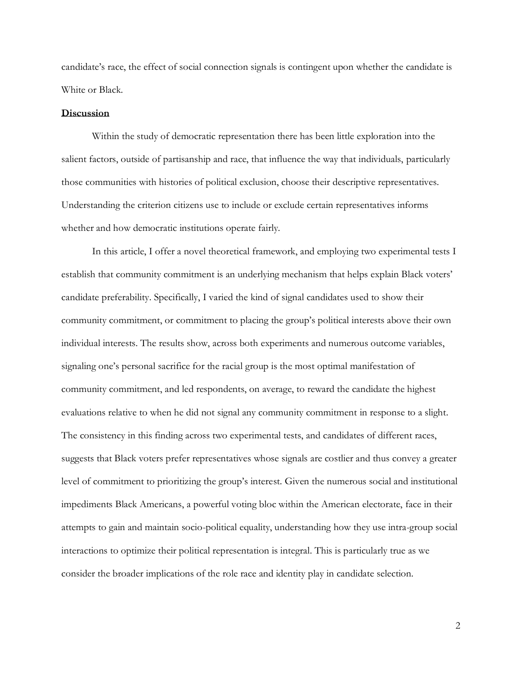candidate's race, the effect of social connection signals is contingent upon whether the candidate is White or Black.

#### **Discussion**

Within the study of democratic representation there has been little exploration into the salient factors, outside of partisanship and race, that influence the way that individuals, particularly those communities with histories of political exclusion, choose their descriptive representatives. Understanding the criterion citizens use to include or exclude certain representatives informs whether and how democratic institutions operate fairly.

In this article, I offer a novel theoretical framework, and employing two experimental tests I establish that community commitment is an underlying mechanism that helps explain Black voters' candidate preferability. Specifically, I varied the kind of signal candidates used to show their community commitment, or commitment to placing the group's political interests above their own individual interests. The results show, across both experiments and numerous outcome variables, signaling one's personal sacrifice for the racial group is the most optimal manifestation of community commitment, and led respondents, on average, to reward the candidate the highest evaluations relative to when he did not signal any community commitment in response to a slight. The consistency in this finding across two experimental tests, and candidates of different races, suggests that Black voters prefer representatives whose signals are costlier and thus convey a greater level of commitment to prioritizing the group's interest. Given the numerous social and institutional impediments Black Americans, a powerful voting bloc within the American electorate, face in their attempts to gain and maintain socio-political equality, understanding how they use intra-group social interactions to optimize their political representation is integral. This is particularly true as we consider the broader implications of the role race and identity play in candidate selection.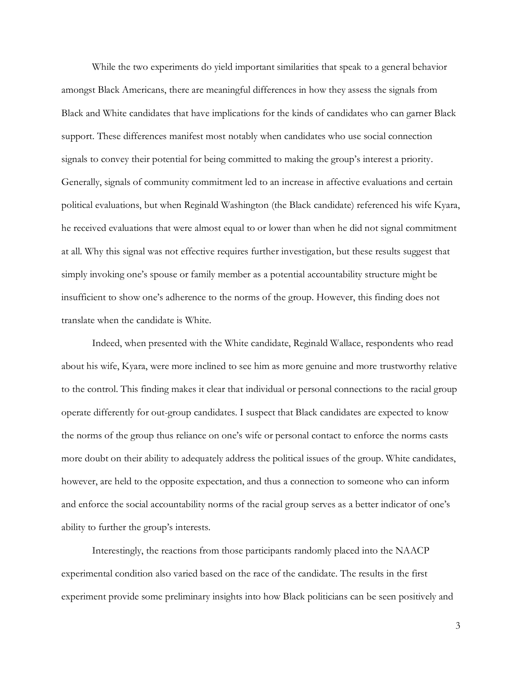While the two experiments do yield important similarities that speak to a general behavior amongst Black Americans, there are meaningful differences in how they assess the signals from Black and White candidates that have implications for the kinds of candidates who can garner Black support. These differences manifest most notably when candidates who use social connection signals to convey their potential for being committed to making the group's interest a priority. Generally, signals of community commitment led to an increase in affective evaluations and certain political evaluations, but when Reginald Washington (the Black candidate) referenced his wife Kyara, he received evaluations that were almost equal to or lower than when he did not signal commitment at all. Why this signal was not effective requires further investigation, but these results suggest that simply invoking one's spouse or family member as a potential accountability structure might be insufficient to show one's adherence to the norms of the group. However, this finding does not translate when the candidate is White.

Indeed, when presented with the White candidate, Reginald Wallace, respondents who read about his wife, Kyara, were more inclined to see him as more genuine and more trustworthy relative to the control. This finding makes it clear that individual or personal connections to the racial group operate differently for out-group candidates. I suspect that Black candidates are expected to know the norms of the group thus reliance on one's wife or personal contact to enforce the norms casts more doubt on their ability to adequately address the political issues of the group. White candidates, however, are held to the opposite expectation, and thus a connection to someone who can inform and enforce the social accountability norms of the racial group serves as a better indicator of one's ability to further the group's interests.

Interestingly, the reactions from those participants randomly placed into the NAACP experimental condition also varied based on the race of the candidate. The results in the first experiment provide some preliminary insights into how Black politicians can be seen positively and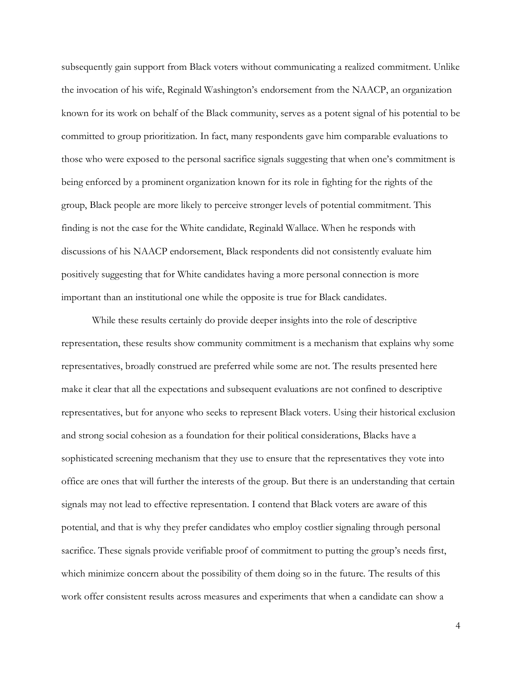subsequently gain support from Black voters without communicating a realized commitment. Unlike the invocation of his wife, Reginald Washington's endorsement from the NAACP, an organization known for its work on behalf of the Black community, serves as a potent signal of his potential to be committed to group prioritization. In fact, many respondents gave him comparable evaluations to those who were exposed to the personal sacrifice signals suggesting that when one's commitment is being enforced by a prominent organization known for its role in fighting for the rights of the group, Black people are more likely to perceive stronger levels of potential commitment. This finding is not the case for the White candidate, Reginald Wallace. When he responds with discussions of his NAACP endorsement, Black respondents did not consistently evaluate him positively suggesting that for White candidates having a more personal connection is more important than an institutional one while the opposite is true for Black candidates.

While these results certainly do provide deeper insights into the role of descriptive representation, these results show community commitment is a mechanism that explains why some representatives, broadly construed are preferred while some are not. The results presented here make it clear that all the expectations and subsequent evaluations are not confined to descriptive representatives, but for anyone who seeks to represent Black voters. Using their historical exclusion and strong social cohesion as a foundation for their political considerations, Blacks have a sophisticated screening mechanism that they use to ensure that the representatives they vote into office are ones that will further the interests of the group. But there is an understanding that certain signals may not lead to effective representation. I contend that Black voters are aware of this potential, and that is why they prefer candidates who employ costlier signaling through personal sacrifice. These signals provide verifiable proof of commitment to putting the group's needs first, which minimize concern about the possibility of them doing so in the future. The results of this work offer consistent results across measures and experiments that when a candidate can show a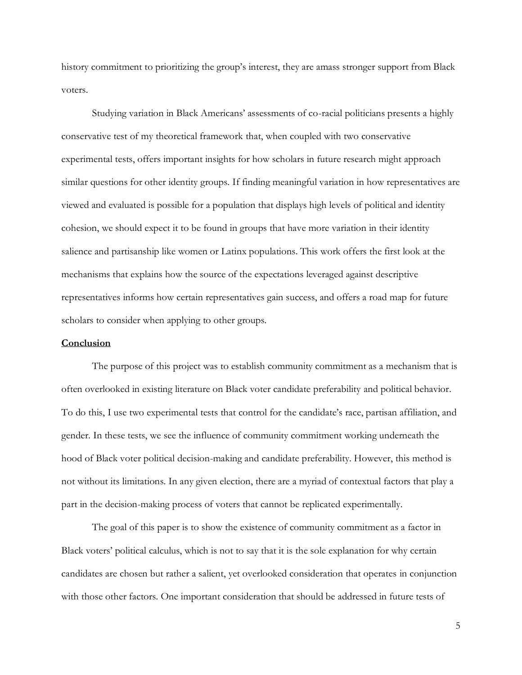history commitment to prioritizing the group's interest, they are amass stronger support from Black voters.

Studying variation in Black Americans' assessments of co-racial politicians presents a highly conservative test of my theoretical framework that, when coupled with two conservative experimental tests, offers important insights for how scholars in future research might approach similar questions for other identity groups. If finding meaningful variation in how representatives are viewed and evaluated is possible for a population that displays high levels of political and identity cohesion, we should expect it to be found in groups that have more variation in their identity salience and partisanship like women or Latinx populations. This work offers the first look at the mechanisms that explains how the source of the expectations leveraged against descriptive representatives informs how certain representatives gain success, and offers a road map for future scholars to consider when applying to other groups.

### **Conclusion**

The purpose of this project was to establish community commitment as a mechanism that is often overlooked in existing literature on Black voter candidate preferability and political behavior. To do this, I use two experimental tests that control for the candidate's race, partisan affiliation, and gender. In these tests, we see the influence of community commitment working underneath the hood of Black voter political decision-making and candidate preferability. However, this method is not without its limitations. In any given election, there are a myriad of contextual factors that play a part in the decision-making process of voters that cannot be replicated experimentally.

The goal of this paper is to show the existence of community commitment as a factor in Black voters' political calculus, which is not to say that it is the sole explanation for why certain candidates are chosen but rather a salient, yet overlooked consideration that operates in conjunction with those other factors. One important consideration that should be addressed in future tests of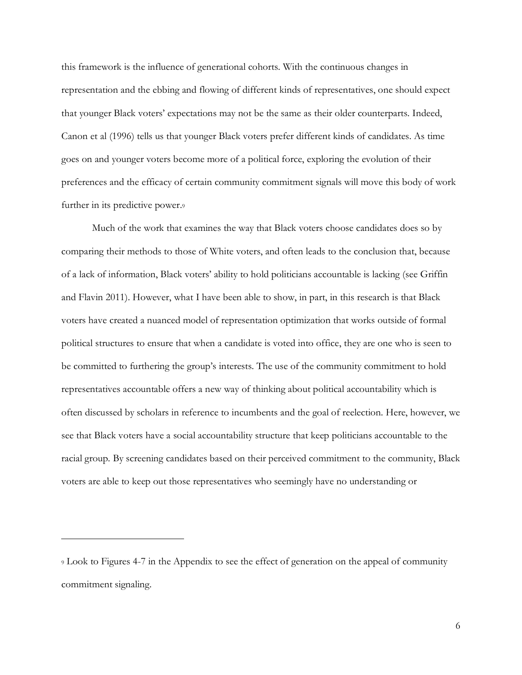this framework is the influence of generational cohorts. With the continuous changes in representation and the ebbing and flowing of different kinds of representatives, one should expect that younger Black voters' expectations may not be the same as their older counterparts. Indeed, Canon et al (1996) tells us that younger Black voters prefer different kinds of candidates. As time goes on and younger voters become more of a political force, exploring the evolution of their preferences and the efficacy of certain community commitment signals will move this body of work further in its predictive power.

Much of the work that examines the way that Black voters choose candidates does so by comparing their methods to those of White voters, and often leads to the conclusion that, because of a lack of information, Black voters' ability to hold politicians accountable is lacking (see Griffin and Flavin 2011). However, what I have been able to show, in part, in this research is that Black voters have created a nuanced model of representation optimization that works outside of formal political structures to ensure that when a candidate is voted into office, they are one who is seen to be committed to furthering the group's interests. The use of the community commitment to hold representatives accountable offers a new way of thinking about political accountability which is often discussed by scholars in reference to incumbents and the goal of reelection. Here, however, we see that Black voters have a social accountability structure that keep politicians accountable to the racial group. By screening candidates based on their perceived commitment to the community, Black voters are able to keep out those representatives who seemingly have no understanding or

<sup>9</sup> Look to Figures 4-7 in the Appendix to see the effect of generation on the appeal of community commitment signaling.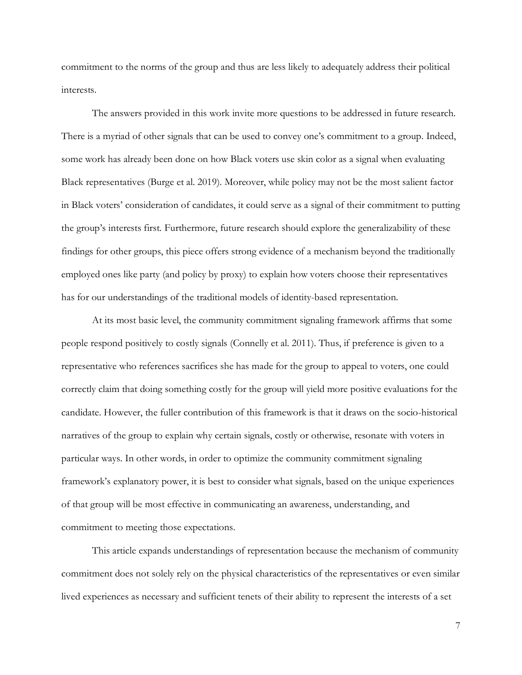commitment to the norms of the group and thus are less likely to adequately address their political interests.

The answers provided in this work invite more questions to be addressed in future research. There is a myriad of other signals that can be used to convey one's commitment to a group. Indeed, some work has already been done on how Black voters use skin color as a signal when evaluating Black representatives (Burge et al. 2019). Moreover, while policy may not be the most salient factor in Black voters' consideration of candidates, it could serve as a signal of their commitment to putting the group's interests first. Furthermore, future research should explore the generalizability of these findings for other groups, this piece offers strong evidence of a mechanism beyond the traditionally employed ones like party (and policy by proxy) to explain how voters choose their representatives has for our understandings of the traditional models of identity-based representation.

At its most basic level, the community commitment signaling framework affirms that some people respond positively to costly signals (Connelly et al. 2011). Thus, if preference is given to a representative who references sacrifices she has made for the group to appeal to voters, one could correctly claim that doing something costly for the group will yield more positive evaluations for the candidate. However, the fuller contribution of this framework is that it draws on the socio-historical narratives of the group to explain why certain signals, costly or otherwise, resonate with voters in particular ways. In other words, in order to optimize the community commitment signaling framework's explanatory power, it is best to consider what signals, based on the unique experiences of that group will be most effective in communicating an awareness, understanding, and commitment to meeting those expectations.

This article expands understandings of representation because the mechanism of community commitment does not solely rely on the physical characteristics of the representatives or even similar lived experiences as necessary and sufficient tenets of their ability to represent the interests of a set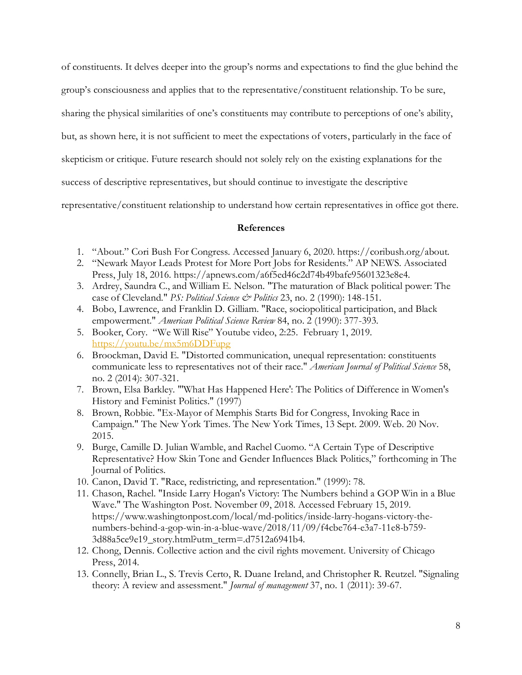of constituents. It delves deeper into the group's norms and expectations to find the glue behind the

group's consciousness and applies that to the representative/constituent relationship. To be sure,

sharing the physical similarities of one's constituents may contribute to perceptions of one's ability,

but, as shown here, it is not sufficient to meet the expectations of voters, particularly in the face of

skepticism or critique. Future research should not solely rely on the existing explanations for the

success of descriptive representatives, but should continue to investigate the descriptive

representative/constituent relationship to understand how certain representatives in office got there.

## **References**

- 1. "About." Cori Bush For Congress. Accessed January 6, 2020. https://coribush.org/about.
- 2. "Newark Mayor Leads Protest for More Port Jobs for Residents." AP NEWS. Associated Press, July 18, 2016. https://apnews.com/a6f5ed46c2d74b49bafe95601323e8e4.
- 3. Ardrey, Saundra C., and William E. Nelson. "The maturation of Black political power: The case of Cleveland." *PS: Political Science & Politics* 23, no. 2 (1990): 148-151.
- 4. Bobo, Lawrence, and Franklin D. Gilliam. "Race, sociopolitical participation, and Black empowerment." *American Political Science Review* 84, no. 2 (1990): 377-393.
- 5. Booker, Cory. "We Will Rise" Youtube video, 2:25. February 1, 2019. <https://youtu.be/mx5m6DDFupg>
- 6. Broockman, David E. "Distorted communication, unequal representation: constituents communicate less to representatives not of their race." *American Journal of Political Science* 58, no. 2 (2014): 307-321.
- 7. Brown, Elsa Barkley. "'What Has Happened Here': The Politics of Difference in Women's History and Feminist Politics." (1997)
- 8. Brown, Robbie. "Ex-Mayor of Memphis Starts Bid for Congress, Invoking Race in Campaign." The New York Times. The New York Times, 13 Sept. 2009. Web. 20 Nov. 2015.
- 9. Burge, Camille D. Julian Wamble, and Rachel Cuomo. "A Certain Type of Descriptive Representative? How Skin Tone and Gender Influences Black Politics," forthcoming in The Journal of Politics.
- 10. Canon, David T. "Race, redistricting, and representation." (1999): 78.
- 11. Chason, Rachel. "Inside Larry Hogan's Victory: The Numbers behind a GOP Win in a Blue Wave." The Washington Post. November 09, 2018. Accessed February 15, 2019. https://www.washingtonpost.com/local/md-politics/inside-larry-hogans-victory-thenumbers-behind-a-gop-win-in-a-blue-wave/2018/11/09/f4cbe764-e3a7-11e8-b759- 3d88a5ce9e19\_story.html?utm\_term=.d7512a6941b4.
- 12. Chong, Dennis. Collective action and the civil rights movement. University of Chicago Press, 2014.
- 13. Connelly, Brian L., S. Trevis Certo, R. Duane Ireland, and Christopher R. Reutzel. "Signaling theory: A review and assessment." *Journal of management* 37, no. 1 (2011): 39-67.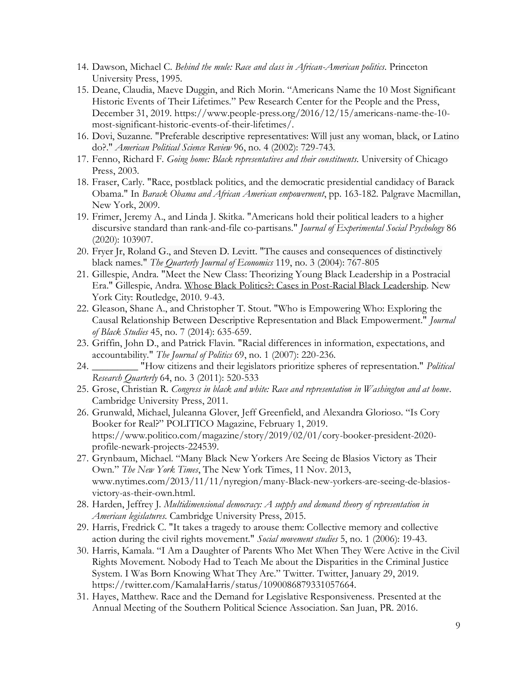- 14. Dawson, Michael C. *Behind the mule: Race and class in African-American politics*. Princeton University Press, 1995.
- 15. Deane, Claudia, Maeve Duggin, and Rich Morin. "Americans Name the 10 Most Significant Historic Events of Their Lifetimes." Pew Research Center for the People and the Press, December 31, 2019. https://www.people-press.org/2016/12/15/americans-name-the-10 most-significant-historic-events-of-their-lifetimes/.
- 16. Dovi, Suzanne. "Preferable descriptive representatives: Will just any woman, black, or Latino do?." *American Political Science Review* 96, no. 4 (2002): 729-743.
- 17. Fenno, Richard F. *Going home: Black representatives and their constituents*. University of Chicago Press, 2003.
- 18. Fraser, Carly. "Race, postblack politics, and the democratic presidential candidacy of Barack Obama." In *Barack Obama and African American empowerment*, pp. 163-182. Palgrave Macmillan, New York, 2009.
- 19. Frimer, Jeremy A., and Linda J. Skitka. "Americans hold their political leaders to a higher discursive standard than rank-and-file co-partisans." *Journal of Experimental Social Psychology* 86 (2020): 103907.
- 20. Fryer Jr, Roland G., and Steven D. Levitt. "The causes and consequences of distinctively black names." *The Quarterly Journal of Economics* 119, no. 3 (2004): 767-805
- 21. Gillespie, Andra. "Meet the New Class: Theorizing Young Black Leadership in a Postracial Era." Gillespie, Andra. Whose Black Politics?: Cases in Post-Racial Black Leadership. New York City: Routledge, 2010. 9-43.
- 22. Gleason, Shane A., and Christopher T. Stout. "Who is Empowering Who: Exploring the Causal Relationship Between Descriptive Representation and Black Empowerment." *Journal of Black Studies* 45, no. 7 (2014): 635-659.
- 23. Griffin, John D., and Patrick Flavin. "Racial differences in information, expectations, and accountability." *The Journal of Politics* 69, no. 1 (2007): 220-236.
- 24. \_\_\_\_\_\_\_\_\_ "How citizens and their legislators prioritize spheres of representation." *Political Research Quarterly* 64, no. 3 (2011): 520-533
- 25. Grose, Christian R. *Congress in black and white: Race and representation in Washington and at home*. Cambridge University Press, 2011.
- 26. Grunwald, Michael, Juleanna Glover, Jeff Greenfield, and Alexandra Glorioso. "Is Cory Booker for Real?" POLITICO Magazine, February 1, 2019. https://www.politico.com/magazine/story/2019/02/01/cory-booker-president-2020 profile-newark-projects-224539.
- 27. Grynbaum, Michael. "Many Black New Yorkers Are Seeing de Blasios Victory as Their Own." *The New York Times*, The New York Times, 11 Nov. 2013, www.nytimes.com/2013/11/11/nyregion/many-Black-new-yorkers-are-seeing-de-blasiosvictory-as-their-own.html.
- 28. Harden, Jeffrey J. *Multidimensional democracy: A supply and demand theory of representation in American legislatures*. Cambridge University Press, 2015.
- 29. Harris, Fredrick C. "It takes a tragedy to arouse them: Collective memory and collective action during the civil rights movement." *Social movement studies* 5, no. 1 (2006): 19-43.
- 30. Harris, Kamala. "I Am a Daughter of Parents Who Met When They Were Active in the Civil Rights Movement. Nobody Had to Teach Me about the Disparities in the Criminal Justice System. I Was Born Knowing What They Are." Twitter. Twitter, January 29, 2019. https://twitter.com/KamalaHarris/status/1090086879331057664.
- 31. Hayes, Matthew. Race and the Demand for Legislative Responsiveness. Presented at the Annual Meeting of the Southern Political Science Association. San Juan, PR. 2016.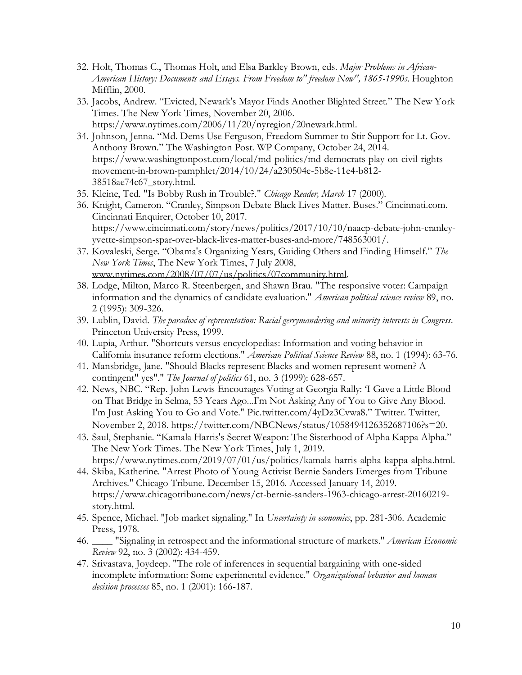- 32. Holt, Thomas C., Thomas Holt, and Elsa Barkley Brown, eds. *Major Problems in African-American History: Documents and Essays. From Freedom to" freedom Now", 1865-1990s*. Houghton Mifflin, 2000.
- 33. Jacobs, Andrew. "Evicted, Newark's Mayor Finds Another Blighted Street." The New York Times. The New York Times, November 20, 2006. https://www.nytimes.com/2006/11/20/nyregion/20newark.html.
- 34. Johnson, Jenna. "Md. Dems Use Ferguson, Freedom Summer to Stir Support for Lt. Gov. Anthony Brown." The Washington Post. WP Company, October 24, 2014. https://www.washingtonpost.com/local/md-politics/md-democrats-play-on-civil-rightsmovement-in-brown-pamphlet/2014/10/24/a230504e-5b8e-11e4-b812- 38518ae74c67\_story.html.
- 35. Kleine, Ted. "Is Bobby Rush in Trouble?." *Chicago Reader, March* 17 (2000).
- 36. Knight, Cameron. "Cranley, Simpson Debate Black Lives Matter. Buses." Cincinnati.com. Cincinnati Enquirer, October 10, 2017. https://www.cincinnati.com/story/news/politics/2017/10/10/naacp-debate-john-cranleyyvette-simpson-spar-over-black-lives-matter-buses-and-more/748563001/.
- 37. Kovaleski, Serge. "Obama's Organizing Years, Guiding Others and Finding Himself." *The New York Times*, The New York Times, 7 July 2008, www.nytimes.com/2008/07/07/us/politics/07community.html.
- 38. Lodge, Milton, Marco R. Steenbergen, and Shawn Brau. "The responsive voter: Campaign information and the dynamics of candidate evaluation." *American political science review* 89, no. 2 (1995): 309-326.
- 39. Lublin, David. *The paradox of representation: Racial gerrymandering and minority interests in Congress*. Princeton University Press, 1999.
- 40. Lupia, Arthur. "Shortcuts versus encyclopedias: Information and voting behavior in California insurance reform elections." *American Political Science Review* 88, no. 1 (1994): 63-76.
- 41. Mansbridge, Jane. "Should Blacks represent Blacks and women represent women? A contingent" yes"." *The Journal of politics* 61, no. 3 (1999): 628-657.
- 42. News, NBC. "Rep. John Lewis Encourages Voting at Georgia Rally: 'I Gave a Little Blood on That Bridge in Selma, 53 Years Ago...I'm Not Asking Any of You to Give Any Blood. I'm Just Asking You to Go and Vote." Pic.twitter.com/4yDz3Cvwa8." Twitter. Twitter, November 2, 2018. https://twitter.com/NBCNews/status/1058494126352687106?s=20.
- 43. Saul, Stephanie. "Kamala Harris's Secret Weapon: The Sisterhood of Alpha Kappa Alpha." The New York Times. The New York Times, July 1, 2019. https://www.nytimes.com/2019/07/01/us/politics/kamala-harris-alpha-kappa-alpha.html.
- 44. Skiba, Katherine. "Arrest Photo of Young Activist Bernie Sanders Emerges from Tribune Archives." Chicago Tribune. December 15, 2016. Accessed January 14, 2019. https://www.chicagotribune.com/news/ct-bernie-sanders-1963-chicago-arrest-20160219 story.html.
- 45. Spence, Michael. "Job market signaling." In *Uncertainty in economics*, pp. 281-306. Academic Press, 1978.
- 46. \_\_\_\_ "Signaling in retrospect and the informational structure of markets." *American Economic Review* 92, no. 3 (2002): 434-459.
- 47. Srivastava, Joydeep. "The role of inferences in sequential bargaining with one-sided incomplete information: Some experimental evidence." *Organizational behavior and human decision processes* 85, no. 1 (2001): 166-187.